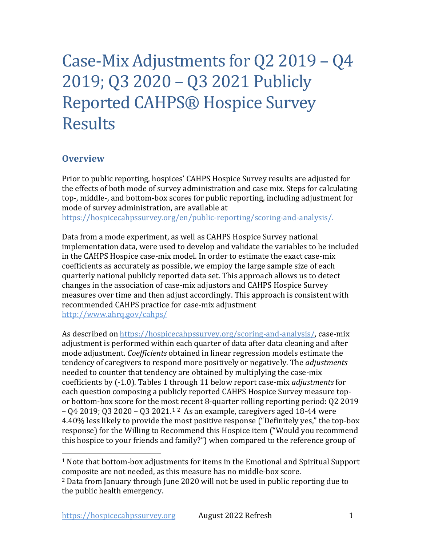# Case-Mix Adjustments for Q2 2019 – Q4 2019; Q3 2020 – Q3 2021 Publicly Reported CAHPS® Hospice Survey Results

## **Overview**

Prior to public reporting, hospices' CAHPS Hospice Survey results are adjusted for the effects of both mode of survey administration and case mix. Steps for calculating top-, middle-, and bottom-box scores for public reporting, including adjustment for mode of survey administration, are available at [https://hospicecahpssurvey.org/en/public-reporting/scoring-and-analysis/.](https://hospicecahpssurvey.org/en/public-reporting/scoring-and-analysis)

http://www.ahrq.gov/cahps/ Data from a mode experiment, as well as CAHPS Hospice Survey national implementation data, were used to develop and validate the variables to be included in the CAHPS Hospice case-mix model. In order to estimate the exact case-mix coefficients as accurately as possible, we employ the large sample size of each quarterly national publicly reported data set. This approach allows us to detect changes in the association of case-mix adjustors and CAHPS Hospice Survey measures over time and then adjust accordingly. This approach is consistent with recommended CAHPS practice for case-mix adjustment

 adjustment is performed within each quarter of data after data cleaning and after coefficients by (-1.0). Tables 1 through 11 below report case-mix *adjustments* for each question composing a publicly reported CAHPS Hospice Survey measure top- – Q4 2019; Q3 2020 – Q3 2021.[1](#page-0-0) [2](#page-0-1) As an example, caregivers aged 18-44 were 4.40% less likely to provide the most positive response ("Definitely yes," the top-box As described on [https://hospicecahpssurvey.org/scoring-and-analysis/,](https://hospicecahpssurvey.org/en/public-reporting/scoring-and-analysis/) case-mix mode adjustment. *Coefficients* obtained in linear regression models estimate the tendency of caregivers to respond more positively or negatively. The *adjustments* needed to counter that tendency are obtained by multiplying the case-mix or bottom-box score for the most recent 8-quarter rolling reporting period: Q2 2019 response) for the Willing to Recommend this Hospice item ("Would you recommend this hospice to your friends and family?") when compared to the reference group of

<span id="page-0-0"></span> $^{\rm 1}$  Note that bottom-box adjustments for items in the Emotional and Spiritual Support composite are not needed, as this measure has no middle-box score.

<span id="page-0-1"></span> 2 Data from January through June 2020 will not be used in public reporting due to the public health emergency.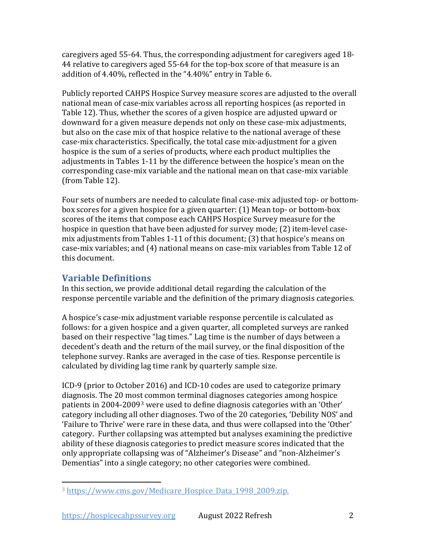caregivers aged 55-64. Thus, the corresponding adjustment for caregivers aged 18- 44 relative to caregivers aged 55-64 for the top-box score of that measure is an addition of 4.40%, reflected in the "4.40%" entry in Table 6.

 adjustments in Tables 1-11 by the difference between the hospice's mean on the Publicly reported CAHPS Hospice Survey measure scores are adjusted to the overall national mean of case-mix variables across all reporting hospices (as reported in Table 12). Thus, whether the scores of a given hospice are adjusted upward or downward for a given measure depends not only on these case-mix adjustments, but also on the case mix of that hospice relative to the national average of these case-mix characteristics. Specifically, the total case mix-adjustment for a given hospice is the sum of a series of products, where each product multiplies the corresponding case-mix variable and the national mean on that case-mix variable (from Table 12).

 box scores for a given hospice for a given quarter: (1) Mean top- or bottom-box hospice in question that have been adjusted for survey mode; (2) item-level case- mix adjustments from Tables 1-11 of this document; (3) that hospice's means on Four sets of numbers are needed to calculate final case-mix adjusted top- or bottomscores of the items that compose each CAHPS Hospice Survey measure for the case-mix variables; and (4) national means on case-mix variables from Table 12 of this document.

# **Variable Definitions**

 In this section, we provide additional detail regarding the calculation of the response percentile variable and the definition of the primary diagnosis categories.

A hospice's case-mix adjustment variable response percentile is calculated as follows: for a given hospice and a given quarter, all completed surveys are ranked based on their respective "lag times." Lag time is the number of days between a decedent's death and the return of the mail survey, or the final disposition of the telephone survey. Ranks are averaged in the case of ties. Response percentile is calculated by dividing lag time rank by quarterly sample size.

 patients in 2004-2009[3](#page-1-0) were used to define diagnosis categories with an 'Other' 'Failure to Thrive' were rare in these data, and thus were collapsed into the 'Other' only appropriate collapsing was of "Alzheimer's Disease" and "non-Alzheimer's ICD-9 (prior to October 2016) and ICD-10 codes are used to categorize primary diagnosis. The 20 most common terminal diagnoses categories among hospice category including all other diagnoses. Two of the 20 categories, 'Debility NOS' and category. Further collapsing was attempted but analyses examining the predictive ability of these diagnosis categories to predict measure scores indicated that the Dementias" into a single category; no other categories were combined.

<span id="page-1-0"></span><sup>&</sup>lt;sup>3</sup> https://www.cms.gov/Medicare Hospice Data 1998 2009.zip.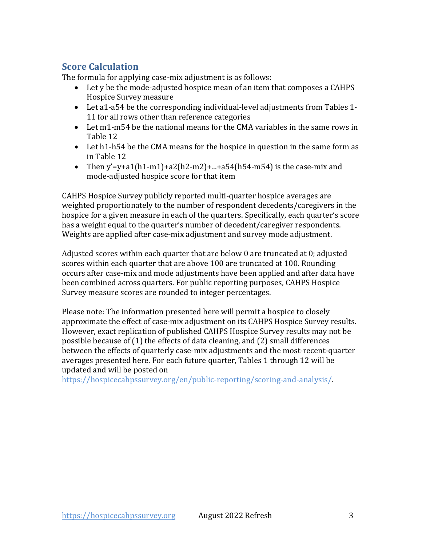# **Score Calculation**

The formula for applying case-mix adjustment is as follows:

- Let y be the mode-adjusted hospice mean of an item that composes a CAHPS Hospice Survey measure
- • Let a1-a54 be the corresponding individual-level adjustments from Tables 1- 11 for all rows other than reference categories
- Let m1-m54 be the national means for the CMA variables in the same rows in Table 12
- Let h1-h54 be the CMA means for the hospice in question in the same form as in Table 12
- mode-adjusted hospice score for that item • Then y'=y+a1(h1-m1)+a2(h2-m2)+...+a54(h54-m54) is the case-mix and

 weighted proportionately to the number of respondent decedents/caregivers in the CAHPS Hospice Survey publicly reported multi-quarter hospice averages are hospice for a given measure in each of the quarters. Specifically, each quarter's score has a weight equal to the quarter's number of decedent/caregiver respondents. Weights are applied after case-mix adjustment and survey mode adjustment.

 scores within each quarter that are above 100 are truncated at 100. Rounding Adjusted scores within each quarter that are below 0 are truncated at 0; adjusted occurs after case-mix and mode adjustments have been applied and after data have been combined across quarters. For public reporting purposes, CAHPS Hospice Survey measure scores are rounded to integer percentages.

 possible because of (1) the effects of data cleaning, and (2) small differences Please note: The information presented here will permit a hospice to closely approximate the effect of case-mix adjustment on its CAHPS Hospice Survey results. However, exact replication of published CAHPS Hospice Survey results may not be between the effects of quarterly case-mix adjustments and the most-recent-quarter averages presented here. For each future quarter, Tables 1 through 12 will be updated and will be posted on

[https://hospicecahpssurvey.org/en/public-reporting/scoring-and-analysis/.](https://hospicecahpssurvey.org/en/public-reporting/scoring-and-analysis)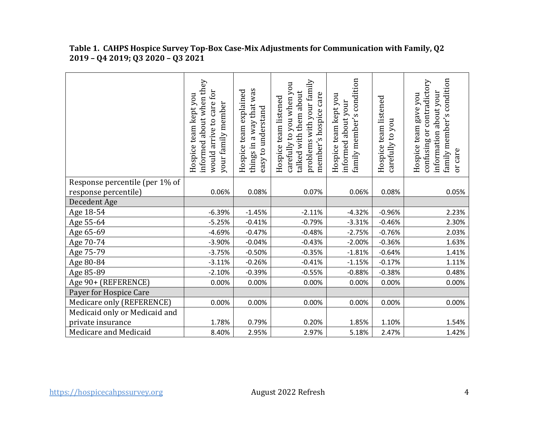|                                | informed about when they<br>would arrive to care for<br>Hospice team kept you<br>your family member | things in a way that was<br>Hospice team explained<br>easy to understand | problems with your family<br>carefully to you when you<br>talked with them about<br>member's hospice care<br>Hospice team listened | condition<br>Hospice team kept you<br>informed about your<br>family member's | Hospice team listened<br>carefully to you | family member's condition<br>contradictory<br>information about your<br>gave you<br>Hospice team<br>ðr<br>confusing<br>or care |
|--------------------------------|-----------------------------------------------------------------------------------------------------|--------------------------------------------------------------------------|------------------------------------------------------------------------------------------------------------------------------------|------------------------------------------------------------------------------|-------------------------------------------|--------------------------------------------------------------------------------------------------------------------------------|
| Response percentile (per 1% of |                                                                                                     |                                                                          |                                                                                                                                    |                                                                              |                                           |                                                                                                                                |
| response percentile)           | 0.06%                                                                                               | 0.08%                                                                    | 0.07%                                                                                                                              | 0.06%                                                                        | 0.08%                                     | 0.05%                                                                                                                          |
| Decedent Age                   |                                                                                                     |                                                                          |                                                                                                                                    |                                                                              |                                           |                                                                                                                                |
| Age 18-54                      | $-6.39%$                                                                                            | $-1.45%$                                                                 | $-2.11%$                                                                                                                           | $-4.32%$                                                                     | $-0.96%$                                  | 2.23%                                                                                                                          |
| Age 55-64                      | $-5.25%$                                                                                            | $-0.41%$                                                                 | $-0.79%$                                                                                                                           | $-3.31%$                                                                     | $-0.46%$                                  | 2.30%                                                                                                                          |
| Age 65-69                      | $-4.69%$                                                                                            | $-0.47%$                                                                 | $-0.48%$                                                                                                                           | $-2.75%$                                                                     | $-0.76%$                                  | 2.03%                                                                                                                          |
| Age 70-74                      | $-3.90%$                                                                                            | $-0.04%$                                                                 | $-0.43%$                                                                                                                           | $-2.00%$                                                                     | $-0.36%$                                  | 1.63%                                                                                                                          |
| Age 75-79                      | $-3.75%$                                                                                            | $-0.50%$                                                                 | $-0.35%$                                                                                                                           | $-1.81%$                                                                     | $-0.64%$                                  | 1.41%                                                                                                                          |
| Age 80-84                      | $-3.11%$                                                                                            | $-0.26%$                                                                 | $-0.41%$                                                                                                                           | $-1.15%$                                                                     | $-0.17%$                                  | 1.11%                                                                                                                          |
| Age 85-89                      | $-2.10%$                                                                                            | $-0.39%$                                                                 | $-0.55%$                                                                                                                           | $-0.88%$                                                                     | $-0.38%$                                  | 0.48%                                                                                                                          |
| Age 90+ (REFERENCE)            | 0.00%                                                                                               | 0.00%                                                                    | 0.00%                                                                                                                              | 0.00%                                                                        | 0.00%                                     | 0.00%                                                                                                                          |
| Payer for Hospice Care         |                                                                                                     |                                                                          |                                                                                                                                    |                                                                              |                                           |                                                                                                                                |
| Medicare only (REFERENCE)      | 0.00%                                                                                               | 0.00%                                                                    | 0.00%                                                                                                                              | 0.00%                                                                        | 0.00%                                     | 0.00%                                                                                                                          |
| Medicaid only or Medicaid and  |                                                                                                     |                                                                          |                                                                                                                                    |                                                                              |                                           |                                                                                                                                |
| private insurance              | 1.78%                                                                                               | 0.79%                                                                    | 0.20%                                                                                                                              | 1.85%                                                                        | 1.10%                                     | 1.54%                                                                                                                          |
| Medicare and Medicaid          | 8.40%                                                                                               | 2.95%                                                                    | 2.97%                                                                                                                              | 5.18%                                                                        | 2.47%                                     | 1.42%                                                                                                                          |

## **Table 1. CAHPS Hospice Survey Top-Box Case-Mix Adjustments for Communication with Family, Q2 2019 – Q4 2019; Q3 2020 – Q3 2021**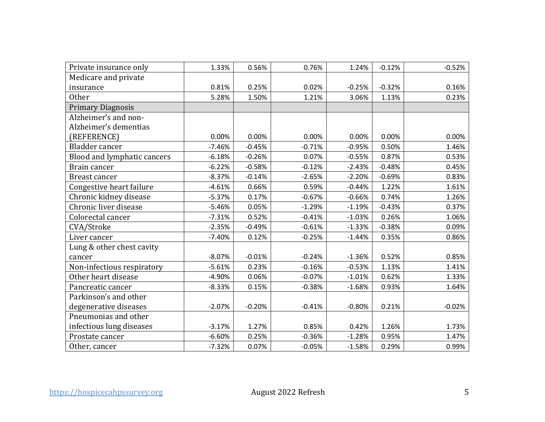| Private insurance only      | 1.33%    | 0.56%    | 0.76%    | 1.24%    | $-0.12%$ | $-0.52%$ |
|-----------------------------|----------|----------|----------|----------|----------|----------|
| Medicare and private        |          |          |          |          |          |          |
| insurance                   | 0.81%    | 0.25%    | 0.02%    | $-0.25%$ | $-0.32%$ | 0.16%    |
| Other                       | 5.28%    | 1.50%    | 1.21%    | 3.06%    | 1.13%    | 0.23%    |
| <b>Primary Diagnosis</b>    |          |          |          |          |          |          |
| Alzheimer's and non-        |          |          |          |          |          |          |
| Alzheimer's dementias       |          |          |          |          |          |          |
| (REFERENCE)                 | 0.00%    | 0.00%    | 0.00%    | 0.00%    | 0.00%    | 0.00%    |
| Bladder cancer              | $-7.46%$ | $-0.45%$ | $-0.71%$ | $-0.95%$ | 0.50%    | 1.46%    |
| Blood and lymphatic cancers | $-6.18%$ | $-0.26%$ | 0.07%    | $-0.55%$ | 0.87%    | 0.53%    |
| Brain cancer                | $-6.22%$ | $-0.58%$ | $-0.12%$ | $-2.43%$ | $-0.48%$ | 0.45%    |
| Breast cancer               | $-8.37%$ | $-0.14%$ | $-2.65%$ | $-2.20%$ | $-0.69%$ | 0.83%    |
| Congestive heart failure    | $-4.61%$ | 0.66%    | 0.59%    | $-0.44%$ | 1.22%    | 1.61%    |
| Chronic kidney disease      | $-5.37%$ | 0.17%    | $-0.67%$ | $-0.66%$ | 0.74%    | 1.26%    |
| Chronic liver disease       | $-5.46%$ | 0.05%    | $-1.29%$ | $-1.19%$ | $-0.43%$ | 0.37%    |
| Colorectal cancer           | $-7.31%$ | 0.52%    | $-0.41%$ | $-1.03%$ | 0.26%    | 1.06%    |
| CVA/Stroke                  | $-2.35%$ | $-0.49%$ | $-0.61%$ | $-1.33%$ | $-0.38%$ | 0.09%    |
| Liver cancer                | $-7.40%$ | 0.12%    | $-0.25%$ | $-1.44%$ | 0.35%    | 0.86%    |
| Lung & other chest cavity   |          |          |          |          |          |          |
| cancer                      | $-8.07%$ | $-0.01%$ | $-0.24%$ | $-1.36%$ | 0.52%    | 0.85%    |
| Non-infectious respiratory  | $-5.61%$ | 0.23%    | $-0.16%$ | $-0.53%$ | 1.13%    | 1.41%    |
| Other heart disease         | $-4.90%$ | 0.06%    | $-0.07%$ | $-1.01%$ | 0.62%    | 1.33%    |
| Pancreatic cancer           | $-8.33%$ | 0.15%    | $-0.38%$ | $-1.68%$ | 0.93%    | 1.64%    |
| Parkinson's and other       |          |          |          |          |          |          |
| degenerative diseases       | $-2.07%$ | $-0.20%$ | $-0.41%$ | $-0.80%$ | 0.21%    | $-0.02%$ |
| Pneumonias and other        |          |          |          |          |          |          |
| infectious lung diseases    | $-3.17%$ | 1.27%    | 0.85%    | 0.42%    | 1.26%    | 1.73%    |
| Prostate cancer             | $-6.60%$ | 0.25%    | $-0.36%$ | $-1.28%$ | 0.95%    | 1.47%    |
| Other, cancer               | $-7.32%$ | 0.07%    | $-0.05%$ | $-1.58%$ | 0.29%    | 0.99%    |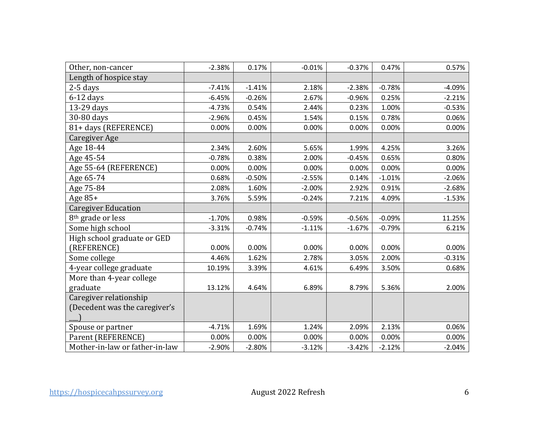| Other, non-cancer              | $-2.38%$ | 0.17%    | $-0.01%$ | $-0.37%$ | 0.47%    | 0.57%    |
|--------------------------------|----------|----------|----------|----------|----------|----------|
| Length of hospice stay         |          |          |          |          |          |          |
| $2-5$ days                     | $-7.41%$ | $-1.41%$ | 2.18%    | $-2.38%$ | $-0.78%$ | $-4.09%$ |
| $6-12$ days                    | $-6.45%$ | $-0.26%$ | 2.67%    | $-0.96%$ | 0.25%    | $-2.21%$ |
| 13-29 days                     | $-4.73%$ | 0.54%    | 2.44%    | 0.23%    | 1.00%    | $-0.53%$ |
| 30-80 days                     | $-2.96%$ | 0.45%    | 1.54%    | 0.15%    | 0.78%    | 0.06%    |
| 81+ days (REFERENCE)           | 0.00%    | 0.00%    | 0.00%    | 0.00%    | 0.00%    | 0.00%    |
| Caregiver Age                  |          |          |          |          |          |          |
| Age 18-44                      | 2.34%    | 2.60%    | 5.65%    | 1.99%    | 4.25%    | 3.26%    |
| Age 45-54                      | $-0.78%$ | 0.38%    | 2.00%    | $-0.45%$ | 0.65%    | 0.80%    |
| Age 55-64 (REFERENCE)          | 0.00%    | 0.00%    | 0.00%    | 0.00%    | 0.00%    | 0.00%    |
| Age 65-74                      | 0.68%    | $-0.50%$ | $-2.55%$ | 0.14%    | $-1.01%$ | $-2.06%$ |
| Age 75-84                      | 2.08%    | 1.60%    | $-2.00%$ | 2.92%    | 0.91%    | $-2.68%$ |
| Age $85+$                      | 3.76%    | 5.59%    | $-0.24%$ | 7.21%    | 4.09%    | $-1.53%$ |
| <b>Caregiver Education</b>     |          |          |          |          |          |          |
| 8 <sup>th</sup> grade or less  | $-1.70%$ | 0.98%    | $-0.59%$ | $-0.56%$ | $-0.09%$ | 11.25%   |
| Some high school               | $-3.31%$ | $-0.74%$ | $-1.11%$ | $-1.67%$ | $-0.79%$ | 6.21%    |
| High school graduate or GED    |          |          |          |          |          |          |
| (REFERENCE)                    | 0.00%    | 0.00%    | 0.00%    | 0.00%    | 0.00%    | 0.00%    |
| Some college                   | 4.46%    | 1.62%    | 2.78%    | 3.05%    | 2.00%    | $-0.31%$ |
| 4-year college graduate        | 10.19%   | 3.39%    | 4.61%    | 6.49%    | 3.50%    | 0.68%    |
| More than 4-year college       |          |          |          |          |          |          |
| graduate                       | 13.12%   | 4.64%    | 6.89%    | 8.79%    | 5.36%    | 2.00%    |
| Caregiver relationship         |          |          |          |          |          |          |
| (Decedent was the caregiver's  |          |          |          |          |          |          |
|                                |          |          |          |          |          |          |
| Spouse or partner              | $-4.71%$ | 1.69%    | 1.24%    | 2.09%    | 2.13%    | 0.06%    |
| Parent (REFERENCE)             | 0.00%    | 0.00%    | 0.00%    | 0.00%    | 0.00%    | 0.00%    |
| Mother-in-law or father-in-law | $-2.90%$ | $-2.80%$ | $-3.12%$ | $-3.42%$ | $-2.12%$ | $-2.04%$ |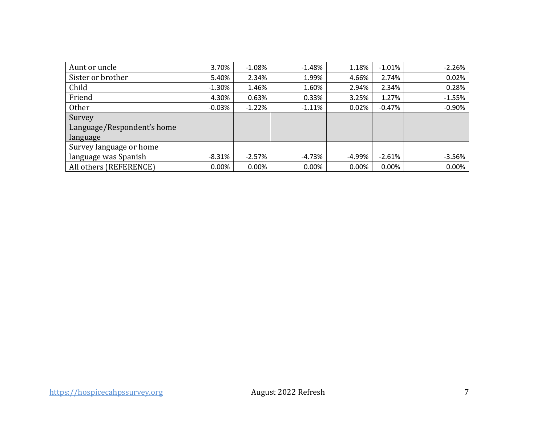| Aunt or uncle              | 3.70%    | $-1.08%$ | $-1.48%$ | 1.18%  | $-1.01%$ | $-2.26%$ |
|----------------------------|----------|----------|----------|--------|----------|----------|
| Sister or brother          | 5.40%    | 2.34%    | 1.99%    | 4.66%  | 2.74%    | 0.02%    |
| Child                      | $-1.30%$ | 1.46%    | 1.60%    | 2.94%  | 2.34%    | 0.28%    |
| Friend                     | 4.30%    | 0.63%    | 0.33%    | 3.25%  | 1.27%    | $-1.55%$ |
| Other                      | $-0.03%$ | $-1.22%$ | $-1.11%$ | 0.02%  | $-0.47%$ | $-0.90%$ |
| Survey                     |          |          |          |        |          |          |
| Language/Respondent's home |          |          |          |        |          |          |
| language                   |          |          |          |        |          |          |
| Survey language or home    |          |          |          |        |          |          |
| language was Spanish       | $-8.31%$ | $-2.57%$ | $-4.73%$ | -4.99% | $-2.61%$ | $-3.56%$ |
| All others (REFERENCE)     | 0.00%    | $0.00\%$ | 0.00%    | 0.00%  | 0.00%    | 0.00%    |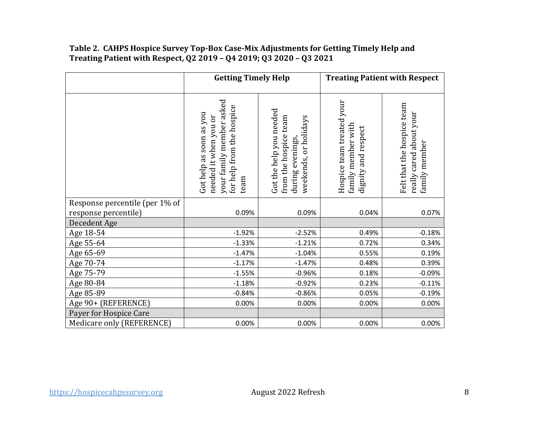#### **Table 2. CAHPS Hospice Survey Top-Box Case-Mix Adjustments for Getting Timely Help and Treating Patient with Respect, Q2 2019 – Q4 2019; Q3 2020 – Q3 2021**

|                                                        | <b>Getting Timely Help</b>                                                                                        |                                                                                               |                                                                        | <b>Treating Patient with Respect</b>                                   |
|--------------------------------------------------------|-------------------------------------------------------------------------------------------------------------------|-----------------------------------------------------------------------------------------------|------------------------------------------------------------------------|------------------------------------------------------------------------|
|                                                        | your family member asked<br>for help from the hospice<br>Got help as soon as you<br>needed it when you or<br>team | Got the help you needed<br>from the hospice team<br>weekends, or holidays<br>during evenings, | Hospice team treated your<br>family member with<br>dignity and respect | Felt that the hospice team<br>really cared about your<br>family member |
| Response percentile (per 1% of<br>response percentile) | 0.09%                                                                                                             | 0.09%                                                                                         | 0.04%                                                                  | 0.07%                                                                  |
| Decedent Age                                           |                                                                                                                   |                                                                                               |                                                                        |                                                                        |
| Age 18-54                                              | $-1.92%$                                                                                                          | $-2.52%$                                                                                      | 0.49%                                                                  | $-0.18%$                                                               |
| Age 55-64                                              | $-1.33%$                                                                                                          | $-1.21%$                                                                                      | 0.72%                                                                  | 0.34%                                                                  |
| Age 65-69                                              | $-1.47%$                                                                                                          | $-1.04%$                                                                                      | 0.55%                                                                  | 0.19%                                                                  |
| Age 70-74                                              | $-1.17%$                                                                                                          | $-1.47%$                                                                                      | 0.48%                                                                  | 0.39%                                                                  |
| Age 75-79                                              | $-1.55%$                                                                                                          | $-0.96%$                                                                                      | 0.18%                                                                  | $-0.09%$                                                               |
| Age 80-84                                              | $-1.18%$                                                                                                          | $-0.92%$                                                                                      | 0.23%                                                                  | $-0.11%$                                                               |
| Age 85-89                                              | $-0.84%$                                                                                                          | $-0.86%$                                                                                      | 0.05%                                                                  | $-0.19%$                                                               |
| Age 90+ (REFERENCE)                                    | 0.00%                                                                                                             | 0.00%                                                                                         | 0.00%                                                                  | 0.00%                                                                  |
| Payer for Hospice Care                                 |                                                                                                                   |                                                                                               |                                                                        |                                                                        |
| Medicare only (REFERENCE)                              | 0.00%                                                                                                             | 0.00%                                                                                         | 0.00%                                                                  | 0.00%                                                                  |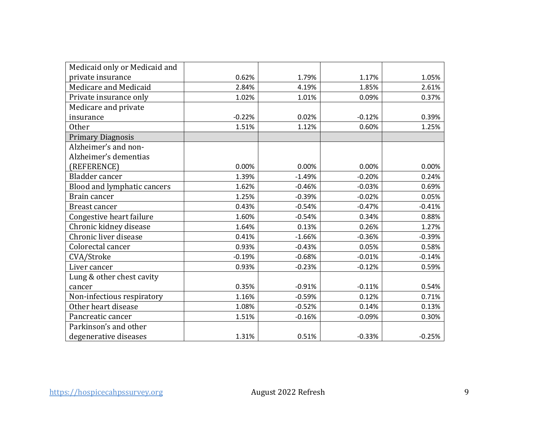| Medicaid only or Medicaid and |          |          |          |          |
|-------------------------------|----------|----------|----------|----------|
| private insurance             | 0.62%    | 1.79%    | 1.17%    | 1.05%    |
| Medicare and Medicaid         | 2.84%    | 4.19%    | 1.85%    | 2.61%    |
| Private insurance only        | 1.02%    | 1.01%    | 0.09%    | 0.37%    |
| Medicare and private          |          |          |          |          |
| insurance                     | $-0.22%$ | 0.02%    | $-0.12%$ | 0.39%    |
| Other                         | 1.51%    | 1.12%    | 0.60%    | 1.25%    |
| <b>Primary Diagnosis</b>      |          |          |          |          |
| Alzheimer's and non-          |          |          |          |          |
| Alzheimer's dementias         |          |          |          |          |
| (REFERENCE)                   | 0.00%    | 0.00%    | 0.00%    | 0.00%    |
| Bladder cancer                | 1.39%    | $-1.49%$ | $-0.20%$ | 0.24%    |
| Blood and lymphatic cancers   | 1.62%    | $-0.46%$ | $-0.03%$ | 0.69%    |
| Brain cancer                  | 1.25%    | $-0.39%$ | $-0.02%$ | 0.05%    |
| <b>Breast cancer</b>          | 0.43%    | $-0.54%$ | $-0.47%$ | $-0.41%$ |
| Congestive heart failure      | 1.60%    | $-0.54%$ | 0.34%    | 0.88%    |
| Chronic kidney disease        | 1.64%    | 0.13%    | 0.26%    | 1.27%    |
| Chronic liver disease         | 0.41%    | $-1.66%$ | $-0.36%$ | $-0.39%$ |
| Colorectal cancer             | 0.93%    | $-0.43%$ | 0.05%    | 0.58%    |
| CVA/Stroke                    | $-0.19%$ | $-0.68%$ | $-0.01%$ | $-0.14%$ |
| Liver cancer                  | 0.93%    | $-0.23%$ | $-0.12%$ | 0.59%    |
| Lung & other chest cavity     |          |          |          |          |
| cancer                        | 0.35%    | $-0.91%$ | $-0.11%$ | 0.54%    |
| Non-infectious respiratory    | 1.16%    | $-0.59%$ | 0.12%    | 0.71%    |
| Other heart disease           | 1.08%    | $-0.52%$ | 0.14%    | 0.13%    |
| Pancreatic cancer             | 1.51%    | $-0.16%$ | $-0.09%$ | 0.30%    |
| Parkinson's and other         |          |          |          |          |
| degenerative diseases         | 1.31%    | 0.51%    | $-0.33%$ | $-0.25%$ |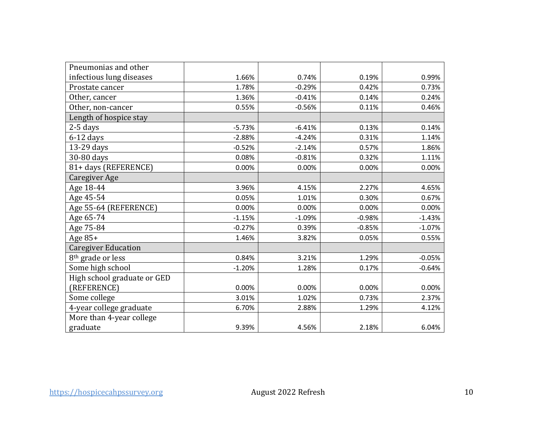| Pneumonias and other          |          |          |          |          |
|-------------------------------|----------|----------|----------|----------|
| infectious lung diseases      | 1.66%    | 0.74%    | 0.19%    | 0.99%    |
| Prostate cancer               | 1.78%    | $-0.29%$ | 0.42%    | 0.73%    |
| Other, cancer                 | 1.36%    | $-0.41%$ | 0.14%    | 0.24%    |
| Other, non-cancer             | 0.55%    | $-0.56%$ | 0.11%    | 0.46%    |
| Length of hospice stay        |          |          |          |          |
| $2-5$ days                    | $-5.73%$ | $-6.41%$ | 0.13%    | 0.14%    |
| $6-12$ days                   | $-2.88%$ | $-4.24%$ | 0.31%    | 1.14%    |
| 13-29 days                    | $-0.52%$ | $-2.14%$ | 0.57%    | 1.86%    |
| 30-80 days                    | 0.08%    | $-0.81%$ | 0.32%    | 1.11%    |
| 81+ days (REFERENCE)          | 0.00%    | 0.00%    | 0.00%    | 0.00%    |
| Caregiver Age                 |          |          |          |          |
| Age 18-44                     | 3.96%    | 4.15%    | 2.27%    | 4.65%    |
| Age 45-54                     | 0.05%    | 1.01%    | 0.30%    | 0.67%    |
| Age 55-64 (REFERENCE)         | 0.00%    | 0.00%    | 0.00%    | 0.00%    |
| Age 65-74                     | $-1.15%$ | $-1.09%$ | $-0.98%$ | $-1.43%$ |
| Age 75-84                     | $-0.27%$ | 0.39%    | $-0.85%$ | $-1.07%$ |
| Age $85+$                     | 1.46%    | 3.82%    | 0.05%    | 0.55%    |
| <b>Caregiver Education</b>    |          |          |          |          |
| 8 <sup>th</sup> grade or less | 0.84%    | 3.21%    | 1.29%    | $-0.05%$ |
| Some high school              | $-1.20%$ | 1.28%    | 0.17%    | $-0.64%$ |
| High school graduate or GED   |          |          |          |          |
| (REFERENCE)                   | 0.00%    | 0.00%    | 0.00%    | 0.00%    |
| Some college                  | 3.01%    | 1.02%    | 0.73%    | 2.37%    |
| 4-year college graduate       | 6.70%    | 2.88%    | 1.29%    | 4.12%    |
| More than 4-year college      |          |          |          |          |
| graduate                      | 9.39%    | 4.56%    | 2.18%    | 6.04%    |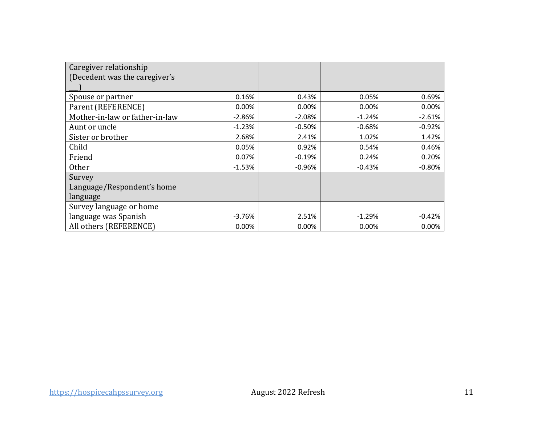| Caregiver relationship         |          |          |          |          |
|--------------------------------|----------|----------|----------|----------|
| (Decedent was the caregiver's  |          |          |          |          |
|                                |          |          |          |          |
| Spouse or partner              | 0.16%    | 0.43%    | 0.05%    | 0.69%    |
| Parent (REFERENCE)             | 0.00%    | 0.00%    | 0.00%    | 0.00%    |
| Mother-in-law or father-in-law | $-2.86%$ | $-2.08%$ | $-1.24%$ | $-2.61%$ |
| Aunt or uncle                  | $-1.23%$ | $-0.50%$ | $-0.68%$ | $-0.92%$ |
| Sister or brother              | 2.68%    | 2.41%    | 1.02%    | 1.42%    |
| Child                          | 0.05%    | 0.92%    | 0.54%    | 0.46%    |
| Friend                         | 0.07%    | $-0.19%$ | 0.24%    | 0.20%    |
| <b>Other</b>                   | $-1.53%$ | $-0.96%$ | $-0.43%$ | $-0.80%$ |
| Survey                         |          |          |          |          |
| Language/Respondent's home     |          |          |          |          |
| language                       |          |          |          |          |
| Survey language or home        |          |          |          |          |
| language was Spanish           | $-3.76%$ | 2.51%    | $-1.29%$ | $-0.42%$ |
| All others (REFERENCE)         | 0.00%    | 0.00%    | 0.00%    | 0.00%    |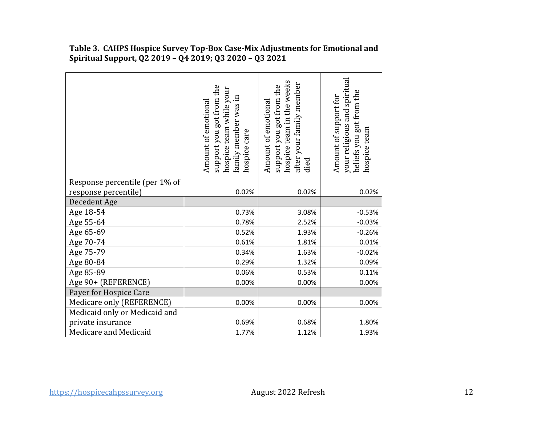|                                | support you got from the<br>hospice team while your<br>family member was in<br>Amount of emotional<br>hospice care | hospice team in the weeks<br>after your family member<br>support you got from the<br>Amount of emotional<br>died | your religious and spiritual<br>beliefs you got from the<br>Amount of support for<br>hospice team |
|--------------------------------|--------------------------------------------------------------------------------------------------------------------|------------------------------------------------------------------------------------------------------------------|---------------------------------------------------------------------------------------------------|
| Response percentile (per 1% of |                                                                                                                    |                                                                                                                  |                                                                                                   |
| response percentile)           | 0.02%                                                                                                              | 0.02%                                                                                                            | 0.02%                                                                                             |
| Decedent Age                   |                                                                                                                    |                                                                                                                  |                                                                                                   |
| Age 18-54                      | 0.73%                                                                                                              | 3.08%                                                                                                            | $-0.53%$                                                                                          |
| Age 55-64                      | 0.78%                                                                                                              | 2.52%                                                                                                            | $-0.03%$                                                                                          |
| Age 65-69                      | 0.52%                                                                                                              | 1.93%                                                                                                            | $-0.26%$                                                                                          |
| Age 70-74                      | 0.61%                                                                                                              | 1.81%                                                                                                            | 0.01%                                                                                             |
| Age 75-79                      | 0.34%                                                                                                              | 1.63%                                                                                                            | $-0.02%$                                                                                          |
| Age 80-84                      | 0.29%                                                                                                              | 1.32%                                                                                                            | 0.09%                                                                                             |
| Age 85-89                      | 0.06%                                                                                                              | 0.53%                                                                                                            | 0.11%                                                                                             |
| Age 90+ (REFERENCE)            | 0.00%                                                                                                              | 0.00%                                                                                                            | 0.00%                                                                                             |
| Payer for Hospice Care         |                                                                                                                    |                                                                                                                  |                                                                                                   |
| Medicare only (REFERENCE)      | 0.00%                                                                                                              | 0.00%                                                                                                            | 0.00%                                                                                             |
| Medicaid only or Medicaid and  |                                                                                                                    |                                                                                                                  |                                                                                                   |
| private insurance              | 0.69%                                                                                                              | 0.68%                                                                                                            | 1.80%                                                                                             |
| Medicare and Medicaid          | 1.77%                                                                                                              | 1.12%                                                                                                            | 1.93%                                                                                             |

## **Table 3. CAHPS Hospice Survey Top-Box Case-Mix Adjustments for Emotional and Spiritual Support, Q2 2019 – Q4 2019; Q3 2020 – Q3 2021**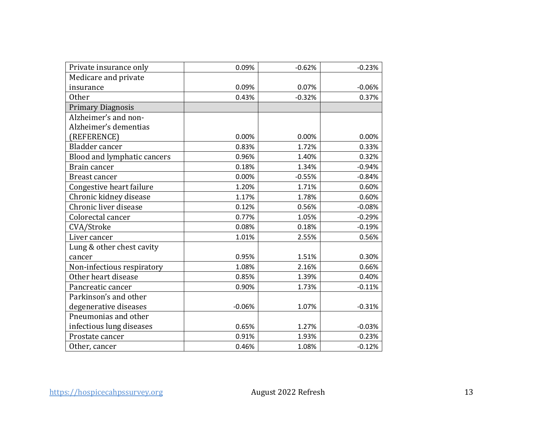| Private insurance only      | 0.09%    | $-0.62%$ | $-0.23%$ |
|-----------------------------|----------|----------|----------|
| Medicare and private        |          |          |          |
| insurance                   | 0.09%    | 0.07%    | $-0.06%$ |
| Other                       | 0.43%    | $-0.32%$ | 0.37%    |
| <b>Primary Diagnosis</b>    |          |          |          |
| Alzheimer's and non-        |          |          |          |
| Alzheimer's dementias       |          |          |          |
| (REFERENCE)                 | 0.00%    | 0.00%    | 0.00%    |
| Bladder cancer              | 0.83%    | 1.72%    | 0.33%    |
| Blood and lymphatic cancers | 0.96%    | 1.40%    | 0.32%    |
| Brain cancer                | 0.18%    | 1.34%    | $-0.94%$ |
| Breast cancer               | 0.00%    | $-0.55%$ | $-0.84%$ |
| Congestive heart failure    | 1.20%    | 1.71%    | 0.60%    |
| Chronic kidney disease      | 1.17%    | 1.78%    | 0.60%    |
| Chronic liver disease       | 0.12%    | 0.56%    | $-0.08%$ |
| Colorectal cancer           | 0.77%    | 1.05%    | $-0.29%$ |
| CVA/Stroke                  | 0.08%    | 0.18%    | $-0.19%$ |
| Liver cancer                | 1.01%    | 2.55%    | 0.56%    |
| Lung & other chest cavity   |          |          |          |
| cancer                      | 0.95%    | 1.51%    | 0.30%    |
| Non-infectious respiratory  | 1.08%    | 2.16%    | 0.66%    |
| Other heart disease         | 0.85%    | 1.39%    | 0.40%    |
| Pancreatic cancer           | 0.90%    | 1.73%    | $-0.11%$ |
| Parkinson's and other       |          |          |          |
| degenerative diseases       | $-0.06%$ | 1.07%    | $-0.31%$ |
| Pneumonias and other        |          |          |          |
| infectious lung diseases    | 0.65%    | 1.27%    | $-0.03%$ |
| Prostate cancer             | 0.91%    | 1.93%    | 0.23%    |
| Other, cancer               | 0.46%    | 1.08%    | $-0.12%$ |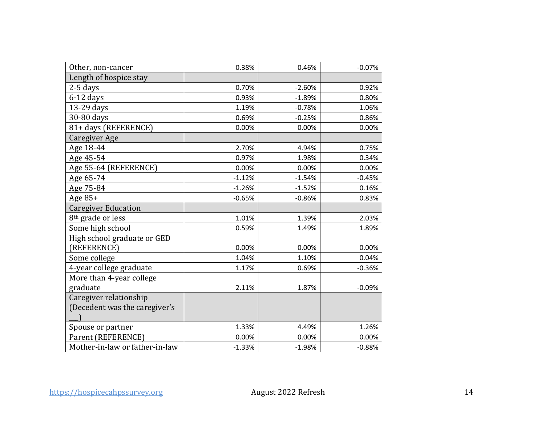| Other, non-cancer              | 0.38%    | 0.46%    | $-0.07%$ |
|--------------------------------|----------|----------|----------|
| Length of hospice stay         |          |          |          |
| 2-5 days                       | 0.70%    | $-2.60%$ | 0.92%    |
| $6-12$ days                    | 0.93%    | $-1.89%$ | 0.80%    |
| 13-29 days                     | 1.19%    | $-0.78%$ | 1.06%    |
| 30-80 days                     | 0.69%    | $-0.25%$ | 0.86%    |
| 81+ days (REFERENCE)           | 0.00%    | 0.00%    | 0.00%    |
| Caregiver Age                  |          |          |          |
| Age 18-44                      | 2.70%    | 4.94%    | 0.75%    |
| Age 45-54                      | 0.97%    | 1.98%    | 0.34%    |
| Age 55-64 (REFERENCE)          | 0.00%    | 0.00%    | 0.00%    |
| Age 65-74                      | $-1.12%$ | $-1.54%$ | $-0.45%$ |
| Age 75-84                      | $-1.26%$ | $-1.52%$ | 0.16%    |
| Age $85+$                      | $-0.65%$ | $-0.86%$ | 0.83%    |
| <b>Caregiver Education</b>     |          |          |          |
| 8 <sup>th</sup> grade or less  | 1.01%    | 1.39%    | 2.03%    |
| Some high school               | 0.59%    | 1.49%    | 1.89%    |
| High school graduate or GED    |          |          |          |
| (REFERENCE)                    | 0.00%    | 0.00%    | 0.00%    |
| Some college                   | 1.04%    | 1.10%    | 0.04%    |
| 4-year college graduate        | 1.17%    | 0.69%    | $-0.36%$ |
| More than 4-year college       |          |          |          |
| graduate                       | 2.11%    | 1.87%    | $-0.09%$ |
| Caregiver relationship         |          |          |          |
| (Decedent was the caregiver's  |          |          |          |
|                                |          |          |          |
| Spouse or partner              | 1.33%    | 4.49%    | 1.26%    |
| Parent (REFERENCE)             | 0.00%    | 0.00%    | 0.00%    |
| Mother-in-law or father-in-law | $-1.33%$ | $-1.98%$ | $-0.88%$ |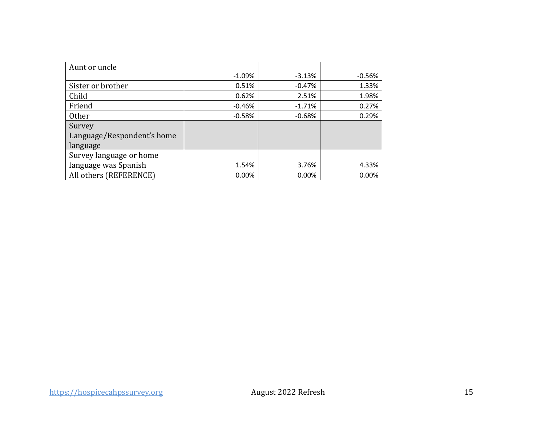| Aunt or uncle              |          |          |          |
|----------------------------|----------|----------|----------|
|                            | $-1.09%$ | $-3.13%$ | $-0.56%$ |
| Sister or brother          | 0.51%    | $-0.47%$ | 1.33%    |
| Child                      | 0.62%    | 2.51%    | 1.98%    |
| Friend                     | $-0.46%$ | $-1.71%$ | 0.27%    |
| Other                      | $-0.58%$ | $-0.68%$ | 0.29%    |
| Survey                     |          |          |          |
| Language/Respondent's home |          |          |          |
| language                   |          |          |          |
| Survey language or home    |          |          |          |
| language was Spanish       | 1.54%    | 3.76%    | 4.33%    |
| All others (REFERENCE)     | 0.00%    | 0.00%    | 0.00%    |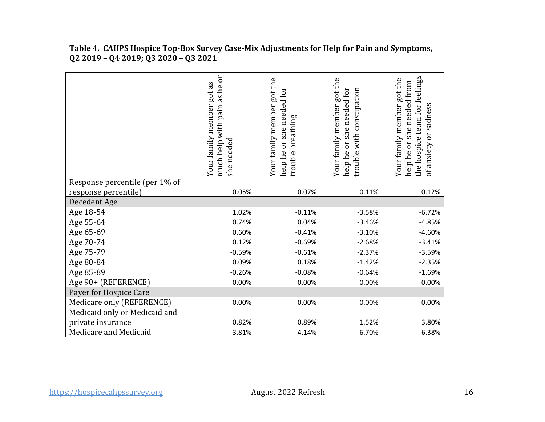|                                | as he or<br>Your family member got as<br>pain<br>much help with<br>she needed | Your family member got the<br>or she needed for<br>breathing<br>help he<br>rouble | Your family member got the<br>nelp he or she needed for<br>with constipation<br>rouble | the hospice team for feelings<br>Your family member got the<br>help he or she needed from<br>of anxiety or sadness |
|--------------------------------|-------------------------------------------------------------------------------|-----------------------------------------------------------------------------------|----------------------------------------------------------------------------------------|--------------------------------------------------------------------------------------------------------------------|
| Response percentile (per 1% of |                                                                               |                                                                                   |                                                                                        |                                                                                                                    |
| response percentile)           | 0.05%                                                                         | 0.07%                                                                             | 0.11%                                                                                  | 0.12%                                                                                                              |
| Decedent Age                   |                                                                               |                                                                                   |                                                                                        |                                                                                                                    |
| Age 18-54                      | 1.02%                                                                         | $-0.11%$                                                                          | $-3.58%$                                                                               | $-6.72%$                                                                                                           |
| Age 55-64                      | 0.74%                                                                         | 0.04%                                                                             | $-3.46%$                                                                               | $-4.85%$                                                                                                           |
| Age 65-69                      | 0.60%                                                                         | $-0.41%$                                                                          | $-3.10%$                                                                               | $-4.60%$                                                                                                           |
| Age 70-74                      | 0.12%                                                                         | $-0.69%$                                                                          | $-2.68%$                                                                               | $-3.41%$                                                                                                           |
| Age 75-79                      | $-0.59%$                                                                      | $-0.61%$                                                                          | $-2.37%$                                                                               | $-3.59%$                                                                                                           |
| Age 80-84                      | 0.09%                                                                         | 0.18%                                                                             | $-1.42%$                                                                               | $-2.35%$                                                                                                           |
| Age 85-89                      | $-0.26%$                                                                      | $-0.08%$                                                                          | $-0.64%$                                                                               | $-1.69%$                                                                                                           |
| Age 90+ (REFERENCE)            | 0.00%                                                                         | 0.00%                                                                             | 0.00%                                                                                  | 0.00%                                                                                                              |
| Payer for Hospice Care         |                                                                               |                                                                                   |                                                                                        |                                                                                                                    |
| Medicare only (REFERENCE)      | 0.00%                                                                         | 0.00%                                                                             | 0.00%                                                                                  | 0.00%                                                                                                              |
| Medicaid only or Medicaid and  |                                                                               |                                                                                   |                                                                                        |                                                                                                                    |
| private insurance              | 0.82%                                                                         | 0.89%                                                                             | 1.52%                                                                                  | 3.80%                                                                                                              |
| Medicare and Medicaid          | 3.81%                                                                         | 4.14%                                                                             | 6.70%                                                                                  | 6.38%                                                                                                              |

 **Table 4. CAHPS Hospice Top-Box Survey Case-Mix Adjustments for Help for Pain and Symptoms, Q2 2019 – Q4 2019; Q3 2020 – Q3 2021**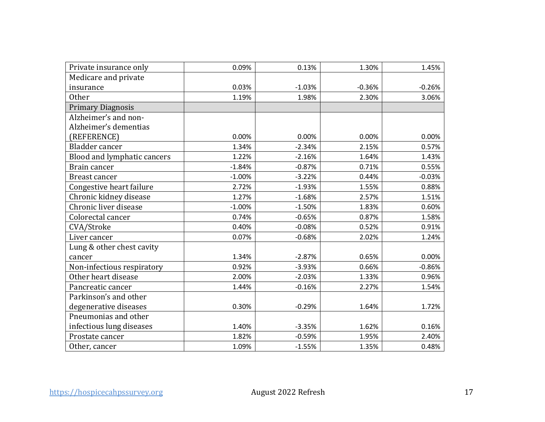| Private insurance only      | 0.09%    | 0.13%    | 1.30%    | 1.45%    |
|-----------------------------|----------|----------|----------|----------|
| Medicare and private        |          |          |          |          |
| insurance                   | 0.03%    | $-1.03%$ | $-0.36%$ | $-0.26%$ |
| <b>Other</b>                | 1.19%    | 1.98%    | 2.30%    | 3.06%    |
| <b>Primary Diagnosis</b>    |          |          |          |          |
| Alzheimer's and non-        |          |          |          |          |
| Alzheimer's dementias       |          |          |          |          |
| (REFERENCE)                 | 0.00%    | 0.00%    | 0.00%    | 0.00%    |
| Bladder cancer              | 1.34%    | $-2.34%$ | 2.15%    | 0.57%    |
| Blood and lymphatic cancers | 1.22%    | $-2.16%$ | 1.64%    | 1.43%    |
| Brain cancer                | $-1.84%$ | $-0.87%$ | 0.71%    | 0.55%    |
| <b>Breast cancer</b>        | $-1.00%$ | $-3.22%$ | 0.44%    | $-0.03%$ |
| Congestive heart failure    | 2.72%    | $-1.93%$ | 1.55%    | 0.88%    |
| Chronic kidney disease      | 1.27%    | $-1.68%$ | 2.57%    | 1.51%    |
| Chronic liver disease       | $-1.00%$ | $-1.50%$ | 1.83%    | 0.60%    |
| Colorectal cancer           | 0.74%    | $-0.65%$ | 0.87%    | 1.58%    |
| CVA/Stroke                  | 0.40%    | $-0.08%$ | 0.52%    | 0.91%    |
| Liver cancer                | 0.07%    | $-0.68%$ | 2.02%    | 1.24%    |
| Lung & other chest cavity   |          |          |          |          |
| cancer                      | 1.34%    | $-2.87%$ | 0.65%    | 0.00%    |
| Non-infectious respiratory  | 0.92%    | $-3.93%$ | 0.66%    | $-0.86%$ |
| Other heart disease         | 2.00%    | $-2.03%$ | 1.33%    | 0.96%    |
| Pancreatic cancer           | 1.44%    | $-0.16%$ | 2.27%    | 1.54%    |
| Parkinson's and other       |          |          |          |          |
| degenerative diseases       | 0.30%    | $-0.29%$ | 1.64%    | 1.72%    |
| Pneumonias and other        |          |          |          |          |
| infectious lung diseases    | 1.40%    | $-3.35%$ | 1.62%    | 0.16%    |
| Prostate cancer             | 1.82%    | $-0.59%$ | 1.95%    | 2.40%    |
| Other, cancer               | 1.09%    | $-1.55%$ | 1.35%    | 0.48%    |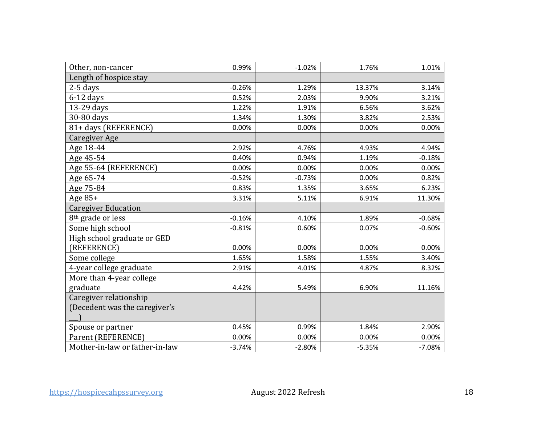| Other, non-cancer              | 0.99%    | $-1.02%$ | 1.76%    | 1.01%    |
|--------------------------------|----------|----------|----------|----------|
| Length of hospice stay         |          |          |          |          |
| $2-5$ days                     | $-0.26%$ | 1.29%    | 13.37%   | 3.14%    |
| $6-12$ days                    | 0.52%    | 2.03%    | 9.90%    | 3.21%    |
| 13-29 days                     | 1.22%    | 1.91%    | 6.56%    | 3.62%    |
| 30-80 days                     | 1.34%    | 1.30%    | 3.82%    | 2.53%    |
| 81+ days (REFERENCE)           | 0.00%    | 0.00%    | 0.00%    | 0.00%    |
| Caregiver Age                  |          |          |          |          |
| Age 18-44                      | 2.92%    | 4.76%    | 4.93%    | 4.94%    |
| Age 45-54                      | 0.40%    | 0.94%    | 1.19%    | $-0.18%$ |
| Age 55-64 (REFERENCE)          | 0.00%    | 0.00%    | 0.00%    | 0.00%    |
| Age 65-74                      | $-0.52%$ | $-0.73%$ | 0.00%    | 0.82%    |
| Age 75-84                      | 0.83%    | 1.35%    | 3.65%    | 6.23%    |
| Age 85+                        | 3.31%    | 5.11%    | 6.91%    | 11.30%   |
| <b>Caregiver Education</b>     |          |          |          |          |
| 8 <sup>th</sup> grade or less  | $-0.16%$ | 4.10%    | 1.89%    | $-0.68%$ |
| Some high school               | $-0.81%$ | 0.60%    | 0.07%    | $-0.60%$ |
| High school graduate or GED    |          |          |          |          |
| (REFERENCE)                    | 0.00%    | 0.00%    | 0.00%    | 0.00%    |
| Some college                   | 1.65%    | 1.58%    | 1.55%    | 3.40%    |
| 4-year college graduate        | 2.91%    | 4.01%    | 4.87%    | 8.32%    |
| More than 4-year college       |          |          |          |          |
| graduate                       | 4.42%    | 5.49%    | 6.90%    | 11.16%   |
| Caregiver relationship         |          |          |          |          |
| (Decedent was the caregiver's  |          |          |          |          |
|                                |          |          |          |          |
| Spouse or partner              | 0.45%    | 0.99%    | 1.84%    | 2.90%    |
| Parent (REFERENCE)             | 0.00%    | 0.00%    | 0.00%    | 0.00%    |
| Mother-in-law or father-in-law | $-3.74%$ | $-2.80%$ | $-5.35%$ | $-7.08%$ |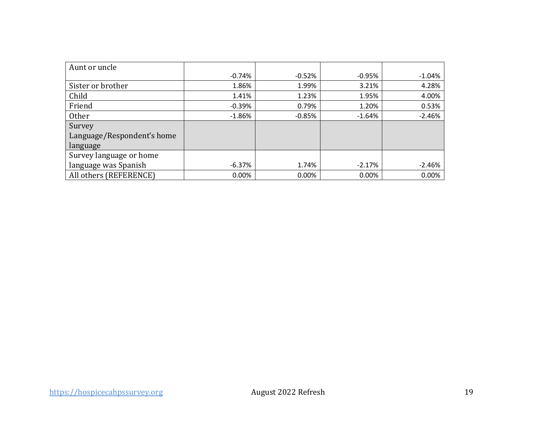| Aunt or uncle              |          |          |          |          |
|----------------------------|----------|----------|----------|----------|
|                            | $-0.74%$ | $-0.52%$ | $-0.95%$ | $-1.04%$ |
| Sister or brother          | 1.86%    | 1.99%    | 3.21%    | 4.28%    |
| Child                      | 1.41%    | 1.23%    | 1.95%    | 4.00%    |
| Friend                     | $-0.39%$ | 0.79%    | 1.20%    | 0.53%    |
| <b>Other</b>               | $-1.86%$ | $-0.85%$ | $-1.64%$ | $-2.46%$ |
| Survey                     |          |          |          |          |
| Language/Respondent's home |          |          |          |          |
| language                   |          |          |          |          |
| Survey language or home    |          |          |          |          |
| language was Spanish       | $-6.37%$ | 1.74%    | $-2.17%$ | $-2.46%$ |
| All others (REFERENCE)     | 0.00%    | 0.00%    | 0.00%    | 0.00%    |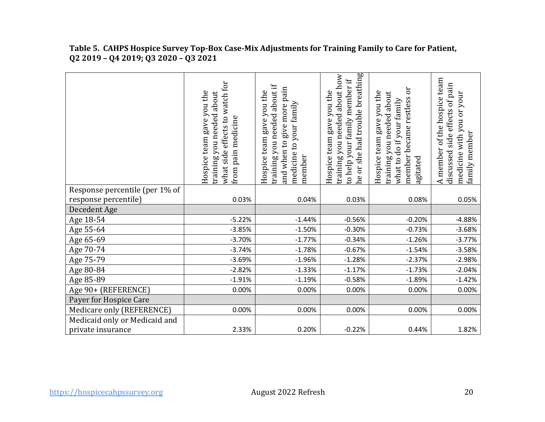|                                | what side effects to watch for<br>Hospice team gave you the<br>about<br>you needed<br>medicine<br>pain<br>training<br>from | raining you needed about if<br>and when to give more pain<br>Hospice team gave you the<br>medicine to your family<br>member | he or she had trouble breathing<br>training you needed about how<br>help your family member if<br>Hospice team gave you the<br>$\overline{c}$ | ЭC<br>Hospice team gave you the<br>about<br>member became restless<br>what to do if your family<br>training you needed<br>gitated | of the hospice team<br>discussed side effects of pain<br>medicine with you or your<br>family member<br>A member |
|--------------------------------|----------------------------------------------------------------------------------------------------------------------------|-----------------------------------------------------------------------------------------------------------------------------|-----------------------------------------------------------------------------------------------------------------------------------------------|-----------------------------------------------------------------------------------------------------------------------------------|-----------------------------------------------------------------------------------------------------------------|
| Response percentile (per 1% of |                                                                                                                            |                                                                                                                             |                                                                                                                                               |                                                                                                                                   |                                                                                                                 |
| response percentile)           | 0.03%                                                                                                                      | 0.04%                                                                                                                       | 0.03%                                                                                                                                         | 0.08%                                                                                                                             | 0.05%                                                                                                           |
| Decedent Age                   |                                                                                                                            |                                                                                                                             |                                                                                                                                               |                                                                                                                                   |                                                                                                                 |
| Age 18-54                      | $-5.22%$                                                                                                                   | $-1.44%$                                                                                                                    | $-0.56%$                                                                                                                                      | $-0.20%$                                                                                                                          | $-4.88%$                                                                                                        |
| Age 55-64                      | $-3.85%$                                                                                                                   | $-1.50%$                                                                                                                    | $-0.30%$                                                                                                                                      | $-0.73%$                                                                                                                          | $-3.68%$                                                                                                        |
| Age 65-69                      | $-3.70%$                                                                                                                   | $-1.77%$                                                                                                                    | $-0.34%$                                                                                                                                      | $-1.26%$                                                                                                                          | $-3.77%$                                                                                                        |
| Age 70-74                      | $-3.74%$                                                                                                                   | $-1.78%$                                                                                                                    | $-0.67%$                                                                                                                                      | $-1.54%$                                                                                                                          | $-3.58%$                                                                                                        |
| Age 75-79                      | $-3.69%$                                                                                                                   | $-1.96%$                                                                                                                    | $-1.28%$                                                                                                                                      | $-2.37%$                                                                                                                          | $-2.98%$                                                                                                        |
| Age 80-84                      | $-2.82%$                                                                                                                   | $-1.33%$                                                                                                                    | $-1.17%$                                                                                                                                      | $-1.73%$                                                                                                                          | $-2.04%$                                                                                                        |
| Age 85-89                      | $-1.91%$                                                                                                                   | $-1.19%$                                                                                                                    | $-0.58%$                                                                                                                                      | $-1.89%$                                                                                                                          | $-1.42%$                                                                                                        |
| Age 90+ (REFERENCE)            | 0.00%                                                                                                                      | 0.00%                                                                                                                       | 0.00%                                                                                                                                         | 0.00%                                                                                                                             | 0.00%                                                                                                           |
| Payer for Hospice Care         |                                                                                                                            |                                                                                                                             |                                                                                                                                               |                                                                                                                                   |                                                                                                                 |
| Medicare only (REFERENCE)      | 0.00%                                                                                                                      | 0.00%                                                                                                                       | 0.00%                                                                                                                                         | 0.00%                                                                                                                             | 0.00%                                                                                                           |
| Medicaid only or Medicaid and  |                                                                                                                            |                                                                                                                             |                                                                                                                                               |                                                                                                                                   |                                                                                                                 |
| private insurance              | 2.33%                                                                                                                      | 0.20%                                                                                                                       | $-0.22%$                                                                                                                                      | 0.44%                                                                                                                             | 1.82%                                                                                                           |

 **Table 5. CAHPS Hospice Survey Top-Box Case-Mix Adjustments for Training Family to Care for Patient, Q2 2019 – Q4 2019; Q3 2020 – Q3 2021**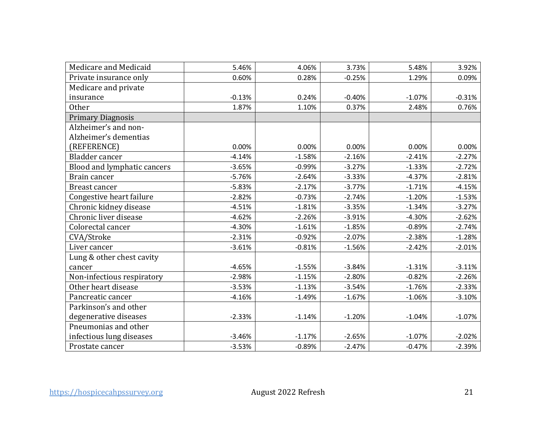| Medicare and Medicaid       | 5.46%    | 4.06%    | 3.73%    | 5.48%    | 3.92%    |
|-----------------------------|----------|----------|----------|----------|----------|
| Private insurance only      | 0.60%    | 0.28%    | $-0.25%$ | 1.29%    | 0.09%    |
| Medicare and private        |          |          |          |          |          |
| insurance                   | $-0.13%$ | 0.24%    | $-0.40%$ | $-1.07%$ | $-0.31%$ |
| <b>Other</b>                | 1.87%    | 1.10%    | 0.37%    | 2.48%    | 0.76%    |
| <b>Primary Diagnosis</b>    |          |          |          |          |          |
| Alzheimer's and non-        |          |          |          |          |          |
| Alzheimer's dementias       |          |          |          |          |          |
| (REFERENCE)                 | 0.00%    | 0.00%    | 0.00%    | 0.00%    | 0.00%    |
| Bladder cancer              | $-4.14%$ | $-1.58%$ | $-2.16%$ | $-2.41%$ | $-2.27%$ |
| Blood and lymphatic cancers | $-3.65%$ | $-0.99%$ | $-3.27%$ | $-1.33%$ | $-2.72%$ |
| Brain cancer                | $-5.76%$ | $-2.64%$ | $-3.33%$ | $-4.37%$ | $-2.81%$ |
| <b>Breast cancer</b>        | $-5.83%$ | $-2.17%$ | $-3.77%$ | $-1.71%$ | $-4.15%$ |
| Congestive heart failure    | $-2.82%$ | $-0.73%$ | $-2.74%$ | $-1.20%$ | $-1.53%$ |
| Chronic kidney disease      | $-4.51%$ | $-1.81%$ | $-3.35%$ | $-1.34%$ | $-3.27%$ |
| Chronic liver disease       | $-4.62%$ | $-2.26%$ | $-3.91%$ | $-4.30%$ | $-2.62%$ |
| Colorectal cancer           | $-4.30%$ | $-1.61%$ | $-1.85%$ | $-0.89%$ | $-2.74%$ |
| CVA/Stroke                  | $-2.31%$ | $-0.92%$ | $-2.07%$ | $-2.38%$ | $-1.28%$ |
| Liver cancer                | $-3.61%$ | $-0.81%$ | $-1.56%$ | $-2.42%$ | $-2.01%$ |
| Lung & other chest cavity   |          |          |          |          |          |
| cancer                      | $-4.65%$ | $-1.55%$ | $-3.84%$ | $-1.31%$ | $-3.11%$ |
| Non-infectious respiratory  | $-2.98%$ | $-1.15%$ | $-2.80%$ | $-0.82%$ | $-2.26%$ |
| Other heart disease         | $-3.53%$ | $-1.13%$ | $-3.54%$ | $-1.76%$ | $-2.33%$ |
| Pancreatic cancer           | $-4.16%$ | $-1.49%$ | $-1.67%$ | $-1.06%$ | $-3.10%$ |
| Parkinson's and other       |          |          |          |          |          |
| degenerative diseases       | $-2.33%$ | $-1.14%$ | $-1.20%$ | $-1.04%$ | $-1.07%$ |
| Pneumonias and other        |          |          |          |          |          |
| infectious lung diseases    | $-3.46%$ | $-1.17%$ | $-2.65%$ | $-1.07%$ | $-2.02%$ |
| Prostate cancer             | $-3.53%$ | $-0.89%$ | $-2.47%$ | $-0.47%$ | $-2.39%$ |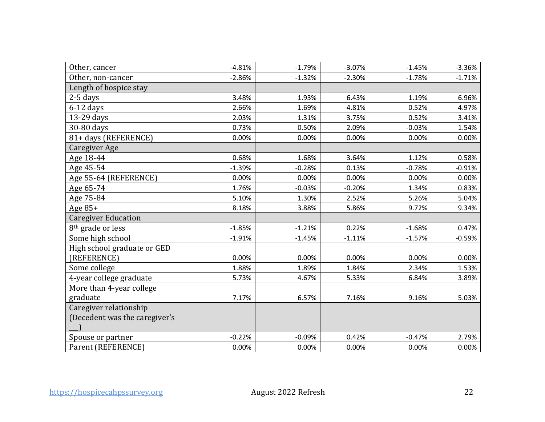| Other, cancer                 | $-4.81%$ | $-1.79%$ | $-3.07%$ | $-1.45%$ | $-3.36%$ |
|-------------------------------|----------|----------|----------|----------|----------|
| Other, non-cancer             | $-2.86%$ | $-1.32%$ | $-2.30%$ | $-1.78%$ | $-1.71%$ |
| Length of hospice stay        |          |          |          |          |          |
| $2-5$ days                    | 3.48%    | 1.93%    | 6.43%    | 1.19%    | 6.96%    |
| $6-12$ days                   | 2.66%    | 1.69%    | 4.81%    | 0.52%    | 4.97%    |
| 13-29 days                    | 2.03%    | 1.31%    | 3.75%    | 0.52%    | 3.41%    |
| 30-80 days                    | 0.73%    | 0.50%    | 2.09%    | $-0.03%$ | 1.54%    |
| 81+ days (REFERENCE)          | 0.00%    | 0.00%    | 0.00%    | 0.00%    | 0.00%    |
| Caregiver Age                 |          |          |          |          |          |
| Age 18-44                     | 0.68%    | 1.68%    | 3.64%    | 1.12%    | 0.58%    |
| Age 45-54                     | $-1.39%$ | $-0.28%$ | 0.13%    | $-0.78%$ | $-0.91%$ |
| Age 55-64 (REFERENCE)         | 0.00%    | 0.00%    | 0.00%    | 0.00%    | 0.00%    |
| Age 65-74                     | 1.76%    | $-0.03%$ | $-0.20%$ | 1.34%    | 0.83%    |
| Age 75-84                     | 5.10%    | 1.30%    | 2.52%    | 5.26%    | 5.04%    |
| Age $85+$                     | 8.18%    | 3.88%    | 5.86%    | 9.72%    | 9.34%    |
| <b>Caregiver Education</b>    |          |          |          |          |          |
| 8 <sup>th</sup> grade or less | $-1.85%$ | $-1.21%$ | 0.22%    | $-1.68%$ | 0.47%    |
| Some high school              | $-1.91%$ | $-1.45%$ | $-1.11%$ | $-1.57%$ | $-0.59%$ |
| High school graduate or GED   |          |          |          |          |          |
| (REFERENCE)                   | 0.00%    | 0.00%    | 0.00%    | 0.00%    | 0.00%    |
| Some college                  | 1.88%    | 1.89%    | 1.84%    | 2.34%    | 1.53%    |
| 4-year college graduate       | 5.73%    | 4.67%    | 5.33%    | 6.84%    | 3.89%    |
| More than 4-year college      |          |          |          |          |          |
| graduate                      | 7.17%    | 6.57%    | 7.16%    | 9.16%    | 5.03%    |
| Caregiver relationship        |          |          |          |          |          |
| (Decedent was the caregiver's |          |          |          |          |          |
|                               |          |          |          |          |          |
| Spouse or partner             | $-0.22%$ | $-0.09%$ | 0.42%    | $-0.47%$ | 2.79%    |
| Parent (REFERENCE)            | 0.00%    | 0.00%    | 0.00%    | 0.00%    | 0.00%    |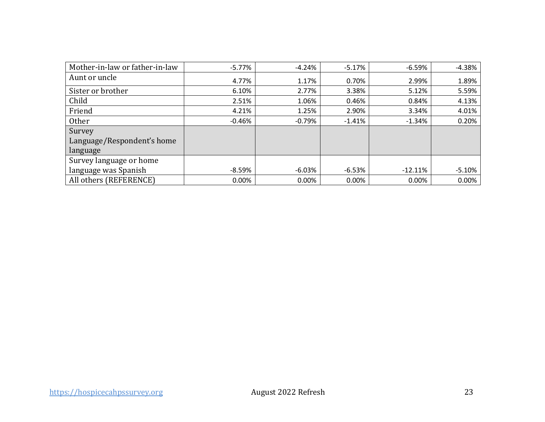| Mother-in-law or father-in-law | $-5.77%$ | $-4.24%$ | $-5.17%$ | $-6.59%$  | $-4.38%$ |
|--------------------------------|----------|----------|----------|-----------|----------|
| Aunt or uncle                  | 4.77%    | 1.17%    | 0.70%    | 2.99%     | 1.89%    |
| Sister or brother              | 6.10%    | 2.77%    | 3.38%    | 5.12%     | 5.59%    |
| Child                          | 2.51%    | 1.06%    | 0.46%    | 0.84%     | 4.13%    |
| Friend                         | 4.21%    | 1.25%    | 2.90%    | 3.34%     | 4.01%    |
| <b>Other</b>                   | $-0.46%$ | $-0.79%$ | $-1.41%$ | $-1.34%$  | 0.20%    |
| Survey                         |          |          |          |           |          |
| Language/Respondent's home     |          |          |          |           |          |
| language                       |          |          |          |           |          |
| Survey language or home        |          |          |          |           |          |
| language was Spanish           | $-8.59%$ | $-6.03%$ | $-6.53%$ | $-12.11%$ | $-5.10%$ |
| All others (REFERENCE)         | 0.00%    | $0.00\%$ | 0.00%    | 0.00%     | 0.00%    |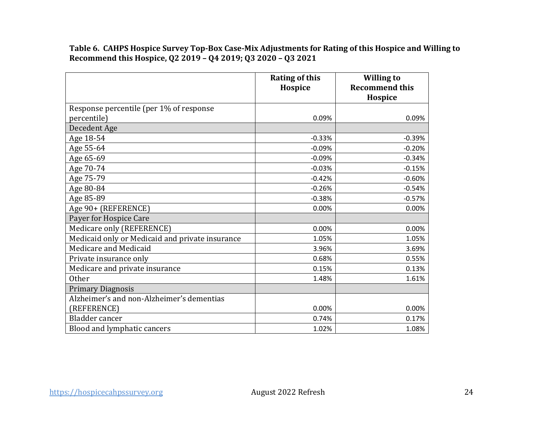**Table 6. CAHPS Hospice Survey Top-Box Case-Mix Adjustments for Rating of this Hospice and Willing to Recommend this Hospice, Q2 2019 – Q4 2019; Q3 2020 – Q3 2021** 

|                                                 | <b>Rating of this</b><br>Hospice | <b>Willing to</b><br><b>Recommend this</b><br>Hospice |
|-------------------------------------------------|----------------------------------|-------------------------------------------------------|
| Response percentile (per 1% of response         |                                  |                                                       |
| percentile)                                     | 0.09%                            | 0.09%                                                 |
| Decedent Age                                    |                                  |                                                       |
| Age 18-54                                       | $-0.33%$                         | $-0.39%$                                              |
| Age 55-64                                       | $-0.09%$                         | $-0.20%$                                              |
| Age 65-69                                       | $-0.09%$                         | $-0.34%$                                              |
| Age 70-74                                       | $-0.03%$                         | $-0.15%$                                              |
| Age 75-79                                       | $-0.42%$                         | $-0.60%$                                              |
| Age 80-84                                       | $-0.26%$                         | $-0.54%$                                              |
| Age 85-89                                       | $-0.38%$                         | $-0.57%$                                              |
| Age 90+ (REFERENCE)                             | 0.00%                            | 0.00%                                                 |
| Payer for Hospice Care                          |                                  |                                                       |
| Medicare only (REFERENCE)                       | 0.00%                            | 0.00%                                                 |
| Medicaid only or Medicaid and private insurance | 1.05%                            | 1.05%                                                 |
| Medicare and Medicaid                           | 3.96%                            | 3.69%                                                 |
| Private insurance only                          | 0.68%                            | 0.55%                                                 |
| Medicare and private insurance                  | 0.15%                            | 0.13%                                                 |
| <b>Other</b>                                    | 1.48%                            | 1.61%                                                 |
| <b>Primary Diagnosis</b>                        |                                  |                                                       |
| Alzheimer's and non-Alzheimer's dementias       |                                  |                                                       |
| (REFERENCE)                                     | 0.00%                            | 0.00%                                                 |
| Bladder cancer                                  | 0.74%                            | 0.17%                                                 |
| Blood and lymphatic cancers                     | 1.02%                            | 1.08%                                                 |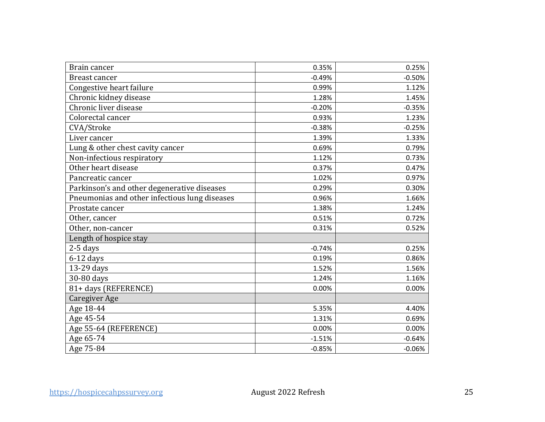| Brain cancer                                  | 0.35%    | 0.25%    |
|-----------------------------------------------|----------|----------|
| <b>Breast cancer</b>                          | $-0.49%$ | $-0.50%$ |
| Congestive heart failure                      | 0.99%    | 1.12%    |
| Chronic kidney disease                        | 1.28%    | 1.45%    |
| Chronic liver disease                         | $-0.20%$ | $-0.35%$ |
| Colorectal cancer                             | 0.93%    | 1.23%    |
| CVA/Stroke                                    | $-0.38%$ | $-0.25%$ |
| Liver cancer                                  | 1.39%    | 1.33%    |
| Lung & other chest cavity cancer              | 0.69%    | 0.79%    |
| Non-infectious respiratory                    | 1.12%    | 0.73%    |
| Other heart disease                           | 0.37%    | 0.47%    |
| Pancreatic cancer                             | 1.02%    | 0.97%    |
| Parkinson's and other degenerative diseases   | 0.29%    | 0.30%    |
| Pneumonias and other infectious lung diseases | 0.96%    | 1.66%    |
| Prostate cancer                               | 1.38%    | 1.24%    |
| Other, cancer                                 | 0.51%    | 0.72%    |
| Other, non-cancer                             | 0.31%    | 0.52%    |
| Length of hospice stay                        |          |          |
| $2-5$ days                                    | $-0.74%$ | 0.25%    |
| $6-12$ days                                   | 0.19%    | 0.86%    |
| 13-29 days                                    | 1.52%    | 1.56%    |
| 30-80 days                                    | 1.24%    | 1.16%    |
| 81+ days (REFERENCE)                          | 0.00%    | 0.00%    |
| Caregiver Age                                 |          |          |
| Age 18-44                                     | 5.35%    | 4.40%    |
| Age 45-54                                     | 1.31%    | 0.69%    |
| Age 55-64 (REFERENCE)                         | 0.00%    | 0.00%    |
| Age 65-74                                     | $-1.51%$ | $-0.64%$ |
| Age 75-84                                     | $-0.85%$ | $-0.06%$ |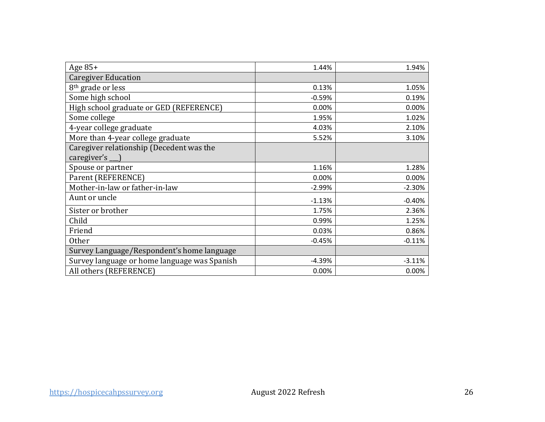| Age 85+                                      | 1.44%    | 1.94%    |
|----------------------------------------------|----------|----------|
| <b>Caregiver Education</b>                   |          |          |
| 8 <sup>th</sup> grade or less                | 0.13%    | 1.05%    |
| Some high school                             | $-0.59%$ | 0.19%    |
| High school graduate or GED (REFERENCE)      | 0.00%    | 0.00%    |
| Some college                                 | 1.95%    | 1.02%    |
| 4-year college graduate                      | 4.03%    | 2.10%    |
| More than 4-year college graduate            | 5.52%    | 3.10%    |
| Caregiver relationship (Decedent was the     |          |          |
| caregiver's __ )                             |          |          |
| Spouse or partner                            | 1.16%    | 1.28%    |
| Parent (REFERENCE)                           | 0.00%    | 0.00%    |
| Mother-in-law or father-in-law               | $-2.99%$ | $-2.30%$ |
| Aunt or uncle                                | $-1.13%$ | $-0.40%$ |
| Sister or brother                            | 1.75%    | 2.36%    |
| Child                                        | 0.99%    | 1.25%    |
| Friend                                       | 0.03%    | 0.86%    |
| <b>Other</b>                                 | $-0.45%$ | $-0.11%$ |
| Survey Language/Respondent's home language   |          |          |
| Survey language or home language was Spanish | $-4.39%$ | $-3.11%$ |
| All others (REFERENCE)                       | 0.00%    | 0.00%    |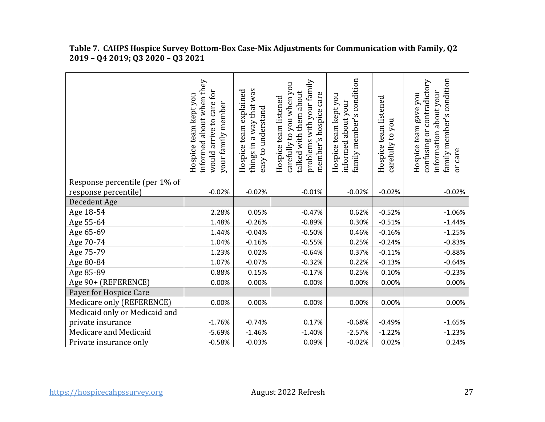|                                | informed about when they<br>would arrive to care for<br>Hospice team kept you<br>your family member | things in a way that was<br>team explained<br>easy to understand<br>Hospice | problems with your family<br>carefully to you when you<br>talked with them about<br>member's hospice care<br>Hospice team listened | family member's condition<br>Hospice team kept you<br>about your<br>informed | Hospice team listened<br>carefully to you | family member's condition<br>contradictory<br>about your<br>gave you<br>Hospice team<br>Эr<br>information<br>confusing<br>or care |
|--------------------------------|-----------------------------------------------------------------------------------------------------|-----------------------------------------------------------------------------|------------------------------------------------------------------------------------------------------------------------------------|------------------------------------------------------------------------------|-------------------------------------------|-----------------------------------------------------------------------------------------------------------------------------------|
| Response percentile (per 1% of |                                                                                                     |                                                                             |                                                                                                                                    |                                                                              |                                           |                                                                                                                                   |
| response percentile)           | $-0.02%$                                                                                            | $-0.02%$                                                                    | $-0.01%$                                                                                                                           | $-0.02%$                                                                     | $-0.02%$                                  | $-0.02%$                                                                                                                          |
| Decedent Age                   |                                                                                                     |                                                                             |                                                                                                                                    |                                                                              |                                           |                                                                                                                                   |
| Age 18-54                      | 2.28%                                                                                               | 0.05%                                                                       | $-0.47%$                                                                                                                           | 0.62%                                                                        | $-0.52%$                                  | $-1.06%$                                                                                                                          |
| Age 55-64                      | 1.48%                                                                                               | $-0.26%$                                                                    | $-0.89%$                                                                                                                           | 0.30%                                                                        | $-0.51%$                                  | $-1.44%$                                                                                                                          |
| Age 65-69                      | 1.44%                                                                                               | $-0.04%$                                                                    | $-0.50%$                                                                                                                           | 0.46%                                                                        | $-0.16%$                                  | $-1.25%$                                                                                                                          |
| Age 70-74                      | 1.04%                                                                                               | $-0.16%$                                                                    | $-0.55%$                                                                                                                           | 0.25%                                                                        | $-0.24%$                                  | $-0.83%$                                                                                                                          |
| Age 75-79                      | 1.23%                                                                                               | 0.02%                                                                       | $-0.64%$                                                                                                                           | 0.37%                                                                        | $-0.11%$                                  | $-0.88%$                                                                                                                          |
| Age 80-84                      | 1.07%                                                                                               | $-0.07%$                                                                    | $-0.32%$                                                                                                                           | 0.22%                                                                        | $-0.13%$                                  | $-0.64%$                                                                                                                          |
| Age 85-89                      | 0.88%                                                                                               | 0.15%                                                                       | $-0.17%$                                                                                                                           | 0.25%                                                                        | 0.10%                                     | $-0.23%$                                                                                                                          |
| Age 90+ (REFERENCE)            | 0.00%                                                                                               | 0.00%                                                                       | 0.00%                                                                                                                              | 0.00%                                                                        | 0.00%                                     | 0.00%                                                                                                                             |
| Payer for Hospice Care         |                                                                                                     |                                                                             |                                                                                                                                    |                                                                              |                                           |                                                                                                                                   |
| Medicare only (REFERENCE)      | 0.00%                                                                                               | 0.00%                                                                       | 0.00%                                                                                                                              | 0.00%                                                                        | 0.00%                                     | 0.00%                                                                                                                             |
| Medicaid only or Medicaid and  |                                                                                                     |                                                                             |                                                                                                                                    |                                                                              |                                           |                                                                                                                                   |
| private insurance              | $-1.76%$                                                                                            | $-0.74%$                                                                    | 0.17%                                                                                                                              | $-0.68%$                                                                     | $-0.49%$                                  | $-1.65%$                                                                                                                          |
| Medicare and Medicaid          | $-5.69%$                                                                                            | $-1.46%$                                                                    | $-1.40%$                                                                                                                           | $-2.57%$                                                                     | $-1.22%$                                  | $-1.23%$                                                                                                                          |
| Private insurance only         | $-0.58%$                                                                                            | $-0.03%$                                                                    | 0.09%                                                                                                                              | $-0.02%$                                                                     | 0.02%                                     | 0.24%                                                                                                                             |

#### **Table 7. CAHPS Hospice Survey Bottom-Box Case-Mix Adjustments for Communication with Family, Q2 2019 – Q4 2019; Q3 2020 – Q3 2021**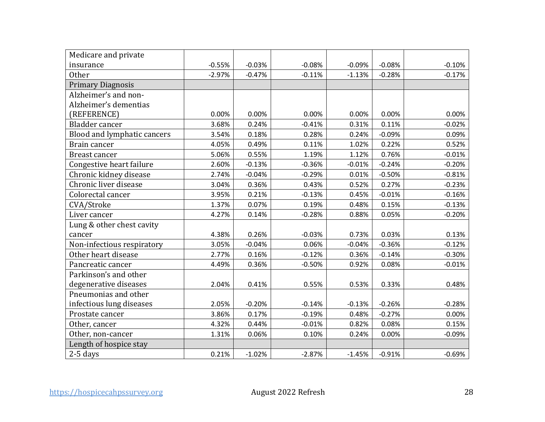| Medicare and private        |          |          |          |          |          |          |
|-----------------------------|----------|----------|----------|----------|----------|----------|
| insurance                   | $-0.55%$ | $-0.03%$ | $-0.08%$ | $-0.09%$ | $-0.08%$ | $-0.10%$ |
| <b>Other</b>                | $-2.97%$ | $-0.47%$ | $-0.11%$ | $-1.13%$ | $-0.28%$ | $-0.17%$ |
| <b>Primary Diagnosis</b>    |          |          |          |          |          |          |
| Alzheimer's and non-        |          |          |          |          |          |          |
| Alzheimer's dementias       |          |          |          |          |          |          |
| (REFERENCE)                 | 0.00%    | 0.00%    | 0.00%    | 0.00%    | 0.00%    | 0.00%    |
| Bladder cancer              | 3.68%    | 0.24%    | $-0.41%$ | 0.31%    | 0.11%    | $-0.02%$ |
| Blood and lymphatic cancers | 3.54%    | 0.18%    | 0.28%    | 0.24%    | $-0.09%$ | 0.09%    |
| Brain cancer                | 4.05%    | 0.49%    | 0.11%    | 1.02%    | 0.22%    | 0.52%    |
| <b>Breast cancer</b>        | 5.06%    | 0.55%    | 1.19%    | 1.12%    | 0.76%    | $-0.01%$ |
| Congestive heart failure    | 2.60%    | $-0.13%$ | $-0.36%$ | $-0.01%$ | $-0.24%$ | $-0.20%$ |
| Chronic kidney disease      | 2.74%    | $-0.04%$ | $-0.29%$ | 0.01%    | $-0.50%$ | $-0.81%$ |
| Chronic liver disease       | 3.04%    | 0.36%    | 0.43%    | 0.52%    | 0.27%    | $-0.23%$ |
| Colorectal cancer           | 3.95%    | 0.21%    | $-0.13%$ | 0.45%    | $-0.01%$ | $-0.16%$ |
| CVA/Stroke                  | 1.37%    | 0.07%    | 0.19%    | 0.48%    | 0.15%    | $-0.13%$ |
| Liver cancer                | 4.27%    | 0.14%    | $-0.28%$ | 0.88%    | 0.05%    | $-0.20%$ |
| Lung & other chest cavity   |          |          |          |          |          |          |
| cancer                      | 4.38%    | 0.26%    | $-0.03%$ | 0.73%    | 0.03%    | 0.13%    |
| Non-infectious respiratory  | 3.05%    | $-0.04%$ | 0.06%    | $-0.04%$ | $-0.36%$ | $-0.12%$ |
| Other heart disease         | 2.77%    | 0.16%    | $-0.12%$ | 0.36%    | $-0.14%$ | $-0.30%$ |
| Pancreatic cancer           | 4.49%    | 0.36%    | $-0.50%$ | 0.92%    | 0.08%    | $-0.01%$ |
| Parkinson's and other       |          |          |          |          |          |          |
| degenerative diseases       | 2.04%    | 0.41%    | 0.55%    | 0.53%    | 0.33%    | 0.48%    |
| Pneumonias and other        |          |          |          |          |          |          |
| infectious lung diseases    | 2.05%    | $-0.20%$ | $-0.14%$ | $-0.13%$ | $-0.26%$ | $-0.28%$ |
| Prostate cancer             | 3.86%    | 0.17%    | $-0.19%$ | 0.48%    | $-0.27%$ | 0.00%    |
| Other, cancer               | 4.32%    | 0.44%    | $-0.01%$ | 0.82%    | 0.08%    | 0.15%    |
| Other, non-cancer           | 1.31%    | 0.06%    | 0.10%    | 0.24%    | 0.00%    | $-0.09%$ |
| Length of hospice stay      |          |          |          |          |          |          |
| $2-5$ days                  | 0.21%    | $-1.02%$ | $-2.87%$ | $-1.45%$ | $-0.91%$ | $-0.69%$ |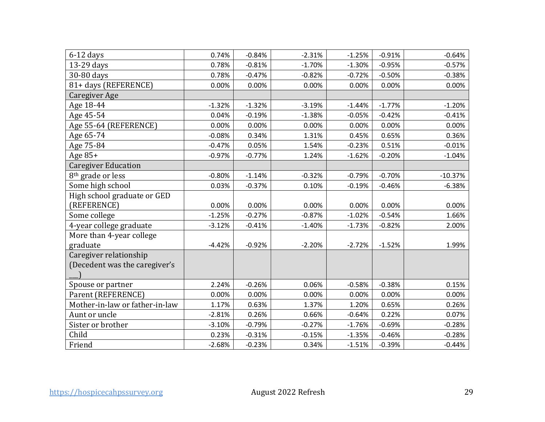| $6-12$ days                    | 0.74%    | $-0.84%$ | $-2.31%$ | $-1.25%$ | $-0.91%$ | $-0.64%$  |
|--------------------------------|----------|----------|----------|----------|----------|-----------|
| 13-29 days                     | 0.78%    | $-0.81%$ | $-1.70%$ | $-1.30%$ | $-0.95%$ | $-0.57%$  |
| 30-80 days                     | 0.78%    | $-0.47%$ | $-0.82%$ | $-0.72%$ | $-0.50%$ | $-0.38%$  |
| 81+ days (REFERENCE)           | 0.00%    | 0.00%    | 0.00%    | 0.00%    | 0.00%    | 0.00%     |
| Caregiver Age                  |          |          |          |          |          |           |
| Age 18-44                      | $-1.32%$ | $-1.32%$ | $-3.19%$ | $-1.44%$ | $-1.77%$ | $-1.20%$  |
| Age 45-54                      | 0.04%    | $-0.19%$ | $-1.38%$ | $-0.05%$ | $-0.42%$ | $-0.41%$  |
| Age 55-64 (REFERENCE)          | 0.00%    | 0.00%    | 0.00%    | 0.00%    | 0.00%    | 0.00%     |
| Age 65-74                      | $-0.08%$ | 0.34%    | 1.31%    | 0.45%    | 0.65%    | 0.36%     |
| Age 75-84                      | $-0.47%$ | 0.05%    | 1.54%    | $-0.23%$ | 0.51%    | $-0.01%$  |
| Age $85+$                      | $-0.97%$ | $-0.77%$ | 1.24%    | $-1.62%$ | $-0.20%$ | $-1.04%$  |
| <b>Caregiver Education</b>     |          |          |          |          |          |           |
| 8 <sup>th</sup> grade or less  | $-0.80%$ | $-1.14%$ | $-0.32%$ | $-0.79%$ | $-0.70%$ | $-10.37%$ |
| Some high school               | 0.03%    | $-0.37%$ | 0.10%    | $-0.19%$ | $-0.46%$ | $-6.38%$  |
| High school graduate or GED    |          |          |          |          |          |           |
| (REFERENCE)                    | 0.00%    | 0.00%    | 0.00%    | 0.00%    | 0.00%    | 0.00%     |
| Some college                   | $-1.25%$ | $-0.27%$ | $-0.87%$ | $-1.02%$ | $-0.54%$ | 1.66%     |
| 4-year college graduate        | $-3.12%$ | $-0.41%$ | $-1.40%$ | $-1.73%$ | $-0.82%$ | 2.00%     |
| More than 4-year college       |          |          |          |          |          |           |
| graduate                       | $-4.42%$ | $-0.92%$ | $-2.20%$ | $-2.72%$ | $-1.52%$ | 1.99%     |
| Caregiver relationship         |          |          |          |          |          |           |
| (Decedent was the caregiver's  |          |          |          |          |          |           |
|                                |          |          |          |          |          |           |
| Spouse or partner              | 2.24%    | $-0.26%$ | 0.06%    | $-0.58%$ | $-0.38%$ | 0.15%     |
| Parent (REFERENCE)             | 0.00%    | 0.00%    | 0.00%    | 0.00%    | 0.00%    | 0.00%     |
| Mother-in-law or father-in-law | 1.17%    | 0.63%    | 1.37%    | 1.20%    | 0.65%    | 0.26%     |
| Aunt or uncle                  | $-2.81%$ | 0.26%    | 0.66%    | $-0.64%$ | 0.22%    | 0.07%     |
| Sister or brother              | $-3.10%$ | $-0.79%$ | $-0.27%$ | $-1.76%$ | $-0.69%$ | $-0.28%$  |
| Child                          | 0.23%    | $-0.31%$ | $-0.15%$ | $-1.35%$ | $-0.46%$ | $-0.28%$  |
| Friend                         | $-2.68%$ | $-0.23%$ | 0.34%    | $-1.51%$ | $-0.39%$ | $-0.44%$  |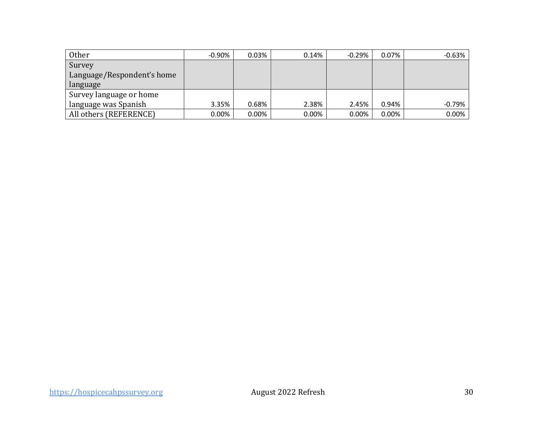| Other                      | $-0.90\%$ | 0.03%    | 0.14% | $-0.29%$ | 0.07%    | $-0.63%$ |
|----------------------------|-----------|----------|-------|----------|----------|----------|
| Survey                     |           |          |       |          |          |          |
| Language/Respondent's home |           |          |       |          |          |          |
| language                   |           |          |       |          |          |          |
| Survey language or home    |           |          |       |          |          |          |
| language was Spanish       | 3.35%     | 0.68%    | 2.38% | 2.45%    | 0.94%    | $-0.79%$ |
| All others (REFERENCE)     | $0.00\%$  | $0.00\%$ | 0.00% | 0.00%    | $0.00\%$ | 0.00%    |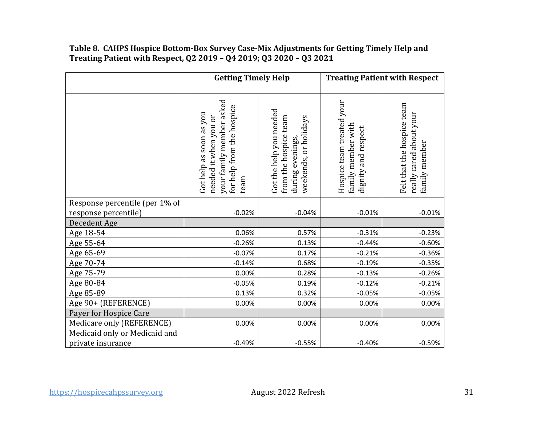#### **Treating Patient with Respect, Q2 2019 – Q4 2019; Q3 2020 – Q3 2021 Table 8. CAHPS Hospice Bottom-Box Survey Case-Mix Adjustments for Getting Timely Help and**

|                                | <b>Getting Timely Help</b>                                                                                        |                                                                                               | <b>Treating Patient with Respect</b>                                   |                                                                        |  |
|--------------------------------|-------------------------------------------------------------------------------------------------------------------|-----------------------------------------------------------------------------------------------|------------------------------------------------------------------------|------------------------------------------------------------------------|--|
|                                | your family member asked<br>for help from the hospice<br>Got help as soon as you<br>needed it when you or<br>team | Got the help you needed<br>from the hospice team<br>weekends, or holidays<br>during evenings, | Hospice team treated your<br>family member with<br>dignity and respect | Felt that the hospice team<br>really cared about your<br>family member |  |
| Response percentile (per 1% of |                                                                                                                   |                                                                                               |                                                                        |                                                                        |  |
| response percentile)           | $-0.02%$                                                                                                          | $-0.04%$                                                                                      | $-0.01%$                                                               | $-0.01%$                                                               |  |
| Decedent Age                   |                                                                                                                   |                                                                                               |                                                                        |                                                                        |  |
| Age 18-54                      | 0.06%<br>$-0.26%$                                                                                                 | 0.57%<br>0.13%                                                                                | $-0.31%$<br>$-0.44%$                                                   | $-0.23%$                                                               |  |
| Age 55-64                      | $-0.07%$                                                                                                          | 0.17%                                                                                         | $-0.21%$                                                               | $-0.60%$<br>$-0.36%$                                                   |  |
| Age 65-69<br>Age 70-74         | $-0.14%$                                                                                                          | 0.68%                                                                                         | $-0.19%$                                                               | $-0.35%$                                                               |  |
| Age 75-79                      | 0.00%                                                                                                             | 0.28%                                                                                         | $-0.13%$                                                               | $-0.26%$                                                               |  |
| Age 80-84                      | $-0.05%$                                                                                                          | 0.19%                                                                                         | $-0.12%$                                                               | $-0.21%$                                                               |  |
| Age 85-89                      | 0.13%                                                                                                             | 0.32%                                                                                         | $-0.05%$                                                               | $-0.05%$                                                               |  |
| Age 90+ (REFERENCE)            | 0.00%                                                                                                             | 0.00%                                                                                         | 0.00%                                                                  | 0.00%                                                                  |  |
| Payer for Hospice Care         |                                                                                                                   |                                                                                               |                                                                        |                                                                        |  |
| Medicare only (REFERENCE)      | 0.00%                                                                                                             | 0.00%                                                                                         | 0.00%                                                                  | 0.00%                                                                  |  |
| Medicaid only or Medicaid and  |                                                                                                                   |                                                                                               |                                                                        |                                                                        |  |
| private insurance              | $-0.49%$                                                                                                          | $-0.55%$                                                                                      | $-0.40%$                                                               | $-0.59%$                                                               |  |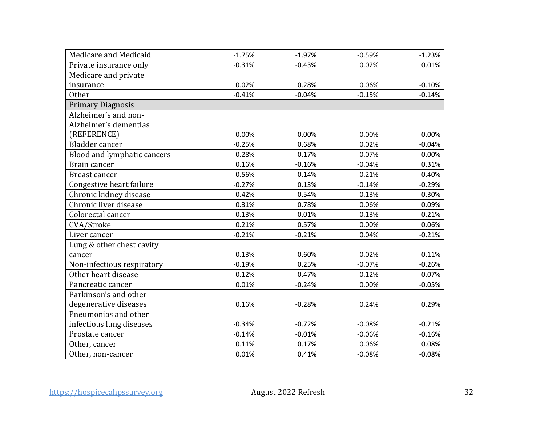| Medicare and Medicaid       | $-1.75%$ | $-1.97%$ | $-0.59%$ | $-1.23%$ |
|-----------------------------|----------|----------|----------|----------|
| Private insurance only      | $-0.31%$ | $-0.43%$ | 0.02%    | 0.01%    |
| Medicare and private        |          |          |          |          |
| insurance                   | 0.02%    | 0.28%    | 0.06%    | $-0.10%$ |
| <b>Other</b>                | $-0.41%$ | $-0.04%$ | $-0.15%$ | $-0.14%$ |
| <b>Primary Diagnosis</b>    |          |          |          |          |
| Alzheimer's and non-        |          |          |          |          |
| Alzheimer's dementias       |          |          |          |          |
| (REFERENCE)                 | 0.00%    | 0.00%    | 0.00%    | 0.00%    |
| <b>Bladder</b> cancer       | $-0.25%$ | 0.68%    | 0.02%    | $-0.04%$ |
| Blood and lymphatic cancers | $-0.28%$ | 0.17%    | 0.07%    | 0.00%    |
| Brain cancer                | 0.16%    | $-0.16%$ | $-0.04%$ | 0.31%    |
| <b>Breast cancer</b>        | 0.56%    | 0.14%    | 0.21%    | 0.40%    |
| Congestive heart failure    | $-0.27%$ | 0.13%    | $-0.14%$ | $-0.29%$ |
| Chronic kidney disease      | $-0.42%$ | $-0.54%$ | $-0.13%$ | $-0.30%$ |
| Chronic liver disease       | 0.31%    | 0.78%    | 0.06%    | 0.09%    |
| Colorectal cancer           | $-0.13%$ | $-0.01%$ | $-0.13%$ | $-0.21%$ |
| CVA/Stroke                  | 0.21%    | 0.57%    | 0.00%    | 0.06%    |
| Liver cancer                | $-0.21%$ | $-0.21%$ | 0.04%    | $-0.21%$ |
| Lung & other chest cavity   |          |          |          |          |
| cancer                      | 0.13%    | 0.60%    | $-0.02%$ | $-0.11%$ |
| Non-infectious respiratory  | $-0.19%$ | 0.25%    | $-0.07%$ | $-0.26%$ |
| Other heart disease         | $-0.12%$ | 0.47%    | $-0.12%$ | $-0.07%$ |
| Pancreatic cancer           | 0.01%    | $-0.24%$ | 0.00%    | $-0.05%$ |
| Parkinson's and other       |          |          |          |          |
| degenerative diseases       | 0.16%    | $-0.28%$ | 0.24%    | 0.29%    |
| Pneumonias and other        |          |          |          |          |
| infectious lung diseases    | $-0.34%$ | $-0.72%$ | $-0.08%$ | $-0.21%$ |
| Prostate cancer             | $-0.14%$ | $-0.01%$ | $-0.06%$ | $-0.16%$ |
| Other, cancer               | 0.11%    | 0.17%    | 0.06%    | 0.08%    |
| Other, non-cancer           | 0.01%    | 0.41%    | $-0.08%$ | $-0.08%$ |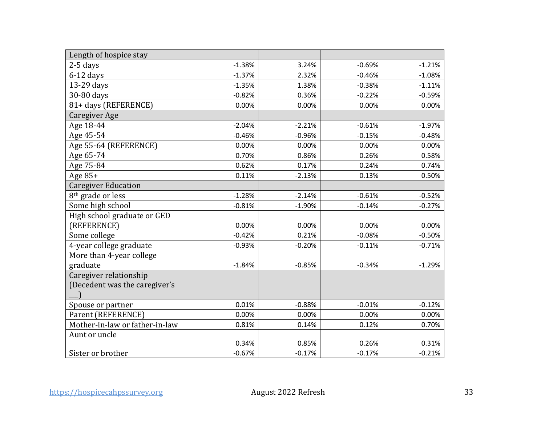| Length of hospice stay         |          |          |          |          |
|--------------------------------|----------|----------|----------|----------|
| $2-5$ days                     | $-1.38%$ | 3.24%    | $-0.69%$ | $-1.21%$ |
| $6-12$ days                    | $-1.37%$ | 2.32%    | $-0.46%$ | $-1.08%$ |
| 13-29 days                     | $-1.35%$ | 1.38%    | $-0.38%$ | $-1.11%$ |
| 30-80 days                     | $-0.82%$ | 0.36%    | $-0.22%$ | $-0.59%$ |
| 81+ days (REFERENCE)           | 0.00%    | 0.00%    | 0.00%    | 0.00%    |
| <b>Caregiver Age</b>           |          |          |          |          |
| Age 18-44                      | $-2.04%$ | $-2.21%$ | $-0.61%$ | $-1.97%$ |
| Age 45-54                      | $-0.46%$ | $-0.96%$ | $-0.15%$ | $-0.48%$ |
| Age 55-64 (REFERENCE)          | 0.00%    | 0.00%    | 0.00%    | 0.00%    |
| Age 65-74                      | 0.70%    | 0.86%    | 0.26%    | 0.58%    |
| Age 75-84                      | 0.62%    | 0.17%    | 0.24%    | 0.74%    |
| Age 85+                        | 0.11%    | $-2.13%$ | 0.13%    | 0.50%    |
| <b>Caregiver Education</b>     |          |          |          |          |
| 8 <sup>th</sup> grade or less  | $-1.28%$ | $-2.14%$ | $-0.61%$ | $-0.52%$ |
| Some high school               | $-0.81%$ | $-1.90%$ | $-0.14%$ | $-0.27%$ |
| High school graduate or GED    |          |          |          |          |
| (REFERENCE)                    | 0.00%    | 0.00%    | 0.00%    | 0.00%    |
| Some college                   | $-0.42%$ | 0.21%    | $-0.08%$ | $-0.50%$ |
| 4-year college graduate        | $-0.93%$ | $-0.20%$ | $-0.11%$ | $-0.71%$ |
| More than 4-year college       |          |          |          |          |
| graduate                       | $-1.84%$ | $-0.85%$ | $-0.34%$ | $-1.29%$ |
| Caregiver relationship         |          |          |          |          |
| (Decedent was the caregiver's  |          |          |          |          |
|                                |          |          |          |          |
| Spouse or partner              | 0.01%    | $-0.88%$ | $-0.01%$ | $-0.12%$ |
| Parent (REFERENCE)             | 0.00%    | 0.00%    | 0.00%    | 0.00%    |
| Mother-in-law or father-in-law | 0.81%    | 0.14%    | 0.12%    | 0.70%    |
| Aunt or uncle                  |          |          |          |          |
|                                | 0.34%    | 0.85%    | 0.26%    | 0.31%    |
| Sister or brother              | $-0.67%$ | $-0.17%$ | $-0.17%$ | $-0.21%$ |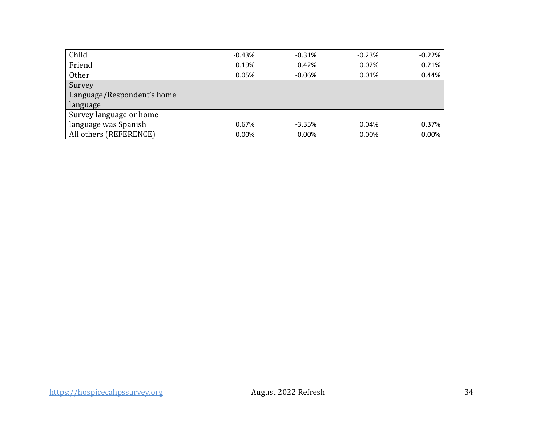| Child                      | $-0.43\%$ | $-0.31%$ | $-0.23%$ | $-0.22%$ |
|----------------------------|-----------|----------|----------|----------|
| Friend                     | 0.19%     | 0.42%    | 0.02%    | 0.21%    |
| <b>Other</b>               | 0.05%     | $-0.06%$ | 0.01%    | 0.44%    |
| Survey                     |           |          |          |          |
| Language/Respondent's home |           |          |          |          |
| language                   |           |          |          |          |
| Survey language or home    |           |          |          |          |
| language was Spanish       | 0.67%     | $-3.35%$ | 0.04%    | 0.37%    |
| All others (REFERENCE)     | $0.00\%$  | 0.00%    | 0.00%    | 0.00%    |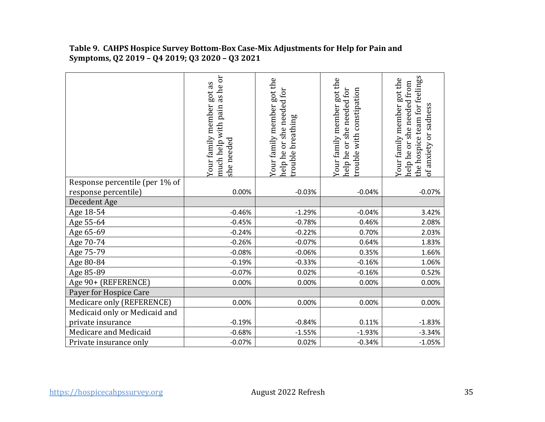|                                | as he or<br>Your family member got as<br>pain<br>much help with<br>she needed | Your family member got the<br>needed for<br>breathing<br>she<br>Or<br>trouble<br>help he | Your family member got the<br>help he or she needed for<br>rouble with constipation | the hospice team for feelings<br>Your family member got the<br>help he or she needed from<br>of anxiety or sadness |
|--------------------------------|-------------------------------------------------------------------------------|------------------------------------------------------------------------------------------|-------------------------------------------------------------------------------------|--------------------------------------------------------------------------------------------------------------------|
| Response percentile (per 1% of |                                                                               |                                                                                          |                                                                                     |                                                                                                                    |
| response percentile)           | 0.00%                                                                         | $-0.03%$                                                                                 | $-0.04%$                                                                            | $-0.07%$                                                                                                           |
| Decedent Age                   |                                                                               |                                                                                          |                                                                                     |                                                                                                                    |
| Age 18-54                      | $-0.46%$                                                                      | $-1.29%$                                                                                 | $-0.04%$                                                                            | 3.42%                                                                                                              |
| Age 55-64                      | $-0.45%$                                                                      | $-0.78%$                                                                                 | 0.46%                                                                               | 2.08%                                                                                                              |
| Age 65-69                      | $-0.24%$                                                                      | $-0.22%$                                                                                 | 0.70%                                                                               | 2.03%                                                                                                              |
| Age 70-74                      | $-0.26%$                                                                      | $-0.07%$                                                                                 | 0.64%                                                                               | 1.83%                                                                                                              |
| Age 75-79                      | $-0.08%$                                                                      | $-0.06%$                                                                                 | 0.35%                                                                               | 1.66%                                                                                                              |
| Age 80-84                      | $-0.19%$                                                                      | $-0.33%$                                                                                 | $-0.16%$                                                                            | 1.06%                                                                                                              |
| Age 85-89                      | $-0.07%$                                                                      | 0.02%                                                                                    | $-0.16%$                                                                            | 0.52%                                                                                                              |
| Age 90+ (REFERENCE)            | 0.00%                                                                         | 0.00%                                                                                    | 0.00%                                                                               | 0.00%                                                                                                              |
| Payer for Hospice Care         |                                                                               |                                                                                          |                                                                                     |                                                                                                                    |
| Medicare only (REFERENCE)      | 0.00%                                                                         | 0.00%                                                                                    | 0.00%                                                                               | 0.00%                                                                                                              |
| Medicaid only or Medicaid and  |                                                                               |                                                                                          |                                                                                     |                                                                                                                    |
| private insurance              | $-0.19%$                                                                      | $-0.84%$                                                                                 | 0.11%                                                                               | $-1.83%$                                                                                                           |
| Medicare and Medicaid          | $-0.68%$                                                                      | $-1.55%$                                                                                 | $-1.93%$                                                                            | $-3.34%$                                                                                                           |
| Private insurance only         | $-0.07%$                                                                      | 0.02%                                                                                    | $-0.34%$                                                                            | $-1.05%$                                                                                                           |

#### **Table 9. CAHPS Hospice Survey Bottom-Box Case-Mix Adjustments for Help for Pain and Symptoms, Q2 2019 – Q4 2019; Q3 2020 – Q3 2021**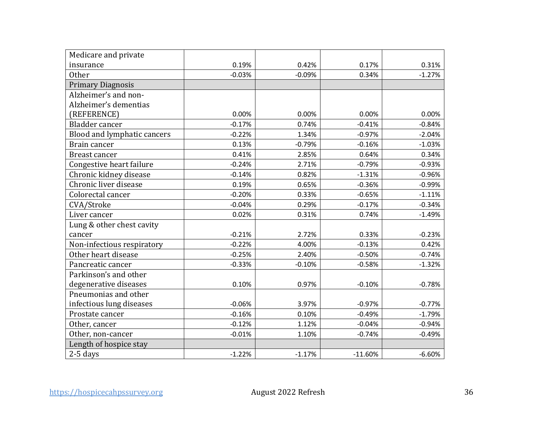| Medicare and private        |          |          |           |          |
|-----------------------------|----------|----------|-----------|----------|
| insurance                   | 0.19%    | 0.42%    | 0.17%     | 0.31%    |
| <b>Other</b>                | $-0.03%$ | $-0.09%$ | 0.34%     | $-1.27%$ |
| <b>Primary Diagnosis</b>    |          |          |           |          |
| Alzheimer's and non-        |          |          |           |          |
| Alzheimer's dementias       |          |          |           |          |
| (REFERENCE)                 | 0.00%    | 0.00%    | 0.00%     | 0.00%    |
| Bladder cancer              | $-0.17%$ | 0.74%    | $-0.41%$  | $-0.84%$ |
| Blood and lymphatic cancers | $-0.22%$ | 1.34%    | $-0.97%$  | $-2.04%$ |
| Brain cancer                | 0.13%    | $-0.79%$ | $-0.16%$  | $-1.03%$ |
| <b>Breast cancer</b>        | 0.41%    | 2.85%    | 0.64%     | 0.34%    |
| Congestive heart failure    | $-0.24%$ | 2.71%    | $-0.79%$  | $-0.93%$ |
| Chronic kidney disease      | $-0.14%$ | 0.82%    | $-1.31%$  | $-0.96%$ |
| Chronic liver disease       | 0.19%    | 0.65%    | $-0.36%$  | $-0.99%$ |
| Colorectal cancer           | $-0.20%$ | 0.33%    | $-0.65%$  | $-1.11%$ |
| CVA/Stroke                  | $-0.04%$ | 0.29%    | $-0.17%$  | $-0.34%$ |
| Liver cancer                | 0.02%    | 0.31%    | 0.74%     | $-1.49%$ |
| Lung & other chest cavity   |          |          |           |          |
| cancer                      | $-0.21%$ | 2.72%    | 0.33%     | $-0.23%$ |
| Non-infectious respiratory  | $-0.22%$ | 4.00%    | $-0.13%$  | 0.42%    |
| Other heart disease         | $-0.25%$ | 2.40%    | $-0.50%$  | $-0.74%$ |
| Pancreatic cancer           | $-0.33%$ | $-0.10%$ | $-0.58%$  | $-1.32%$ |
| Parkinson's and other       |          |          |           |          |
| degenerative diseases       | 0.10%    | 0.97%    | $-0.10%$  | $-0.78%$ |
| Pneumonias and other        |          |          |           |          |
| infectious lung diseases    | $-0.06%$ | 3.97%    | $-0.97%$  | $-0.77%$ |
| Prostate cancer             | $-0.16%$ | 0.10%    | $-0.49%$  | $-1.79%$ |
| Other, cancer               | $-0.12%$ | 1.12%    | $-0.04%$  | $-0.94%$ |
| Other, non-cancer           | $-0.01%$ | 1.10%    | $-0.74%$  | $-0.49%$ |
| Length of hospice stay      |          |          |           |          |
| $2-5$ days                  | $-1.22%$ | $-1.17%$ | $-11.60%$ | $-6.60%$ |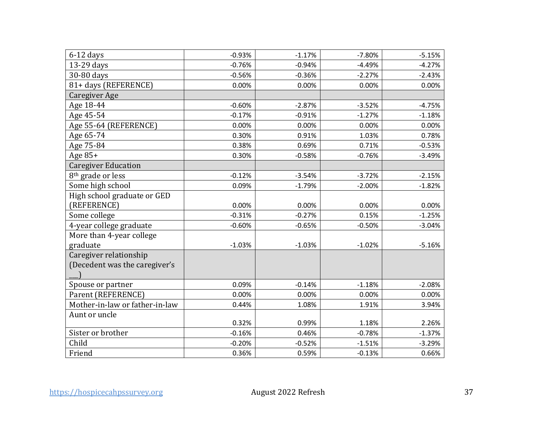| $6-12$ days                    | $-0.93%$ | $-1.17%$ | $-7.80%$ | $-5.15%$ |
|--------------------------------|----------|----------|----------|----------|
| 13-29 days                     | $-0.76%$ | $-0.94%$ | $-4.49%$ | $-4.27%$ |
| 30-80 days                     | $-0.56%$ | $-0.36%$ | $-2.27%$ | $-2.43%$ |
| 81+ days (REFERENCE)           | 0.00%    | 0.00%    | 0.00%    | 0.00%    |
| Caregiver Age                  |          |          |          |          |
| Age 18-44                      | $-0.60%$ | $-2.87%$ | $-3.52%$ | $-4.75%$ |
| Age 45-54                      | $-0.17%$ | $-0.91%$ | $-1.27%$ | $-1.18%$ |
| Age 55-64 (REFERENCE)          | 0.00%    | 0.00%    | 0.00%    | 0.00%    |
| Age 65-74                      | 0.30%    | 0.91%    | 1.03%    | 0.78%    |
| Age 75-84                      | 0.38%    | 0.69%    | 0.71%    | $-0.53%$ |
| Age 85+                        | 0.30%    | $-0.58%$ | $-0.76%$ | $-3.49%$ |
| <b>Caregiver Education</b>     |          |          |          |          |
| 8 <sup>th</sup> grade or less  | $-0.12%$ | $-3.54%$ | $-3.72%$ | $-2.15%$ |
| Some high school               | 0.09%    | $-1.79%$ | $-2.00%$ | $-1.82%$ |
| High school graduate or GED    |          |          |          |          |
| (REFERENCE)                    | 0.00%    | 0.00%    | 0.00%    | 0.00%    |
| Some college                   | $-0.31%$ | $-0.27%$ | 0.15%    | $-1.25%$ |
| 4-year college graduate        | $-0.60%$ | $-0.65%$ | $-0.50%$ | $-3.04%$ |
| More than 4-year college       |          |          |          |          |
| graduate                       | $-1.03%$ | $-1.03%$ | $-1.02%$ | $-5.16%$ |
| Caregiver relationship         |          |          |          |          |
| (Decedent was the caregiver's  |          |          |          |          |
|                                |          |          |          |          |
| Spouse or partner              | 0.09%    | $-0.14%$ | $-1.18%$ | $-2.08%$ |
| Parent (REFERENCE)             | 0.00%    | 0.00%    | 0.00%    | 0.00%    |
| Mother-in-law or father-in-law | 0.44%    | 1.08%    | 1.91%    | 3.94%    |
| Aunt or uncle                  |          |          |          |          |
|                                | 0.32%    | 0.99%    | 1.18%    | 2.26%    |
| Sister or brother              | $-0.16%$ | 0.46%    | $-0.78%$ | $-1.37%$ |
| Child                          | $-0.20%$ | $-0.52%$ | $-1.51%$ | $-3.29%$ |
| Friend                         | 0.36%    | 0.59%    | $-0.13%$ | 0.66%    |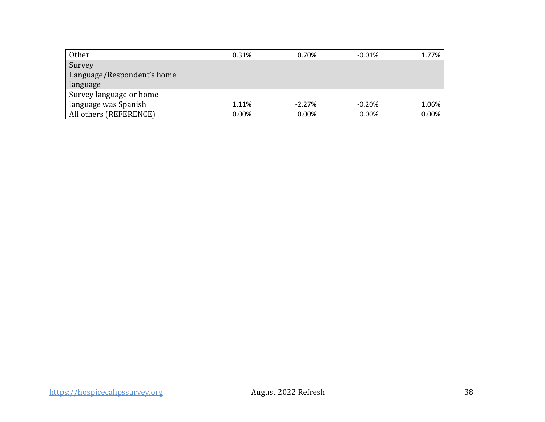| Other                      | 0.31% | 0.70%    | $-0.01%$ | 1.77%    |
|----------------------------|-------|----------|----------|----------|
| Survey                     |       |          |          |          |
| Language/Respondent's home |       |          |          |          |
| language                   |       |          |          |          |
| Survey language or home    |       |          |          |          |
| language was Spanish       | 1.11% | $-2.27%$ | $-0.20%$ | 1.06%    |
| All others (REFERENCE)     | 0.00% | 0.00%    | 0.00%    | $0.00\%$ |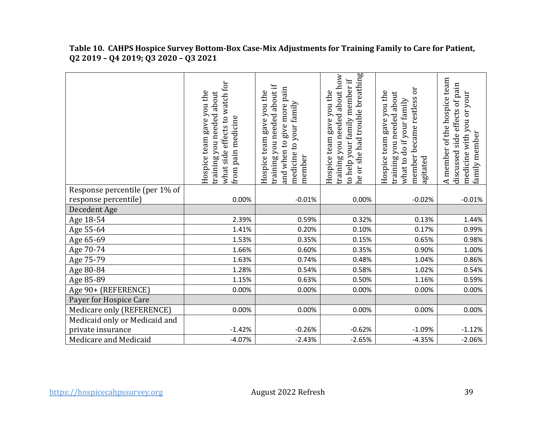| Table TO. CAHPS HOSDICE Survey Bottom-Box Case-MIX Adjustments for Training Family to Care for Patient,<br>Q2 2019 - Q4 2019; Q3 2020 - Q3 2021 |  |   |   |             |
|-------------------------------------------------------------------------------------------------------------------------------------------------|--|---|---|-------------|
|                                                                                                                                                 |  | ∼ | Φ | ᡕᢐ<br><br>Φ |

**Table 10. CAHPS Hospice Survey Bottom-Box Case-Mix Adjustments for Training Family to Care for Patient,** 

|                                | what side effects to watch for<br>Hospice team gave you the<br>training you needed about<br>from pain medicine | training you needed about if<br>pain<br>Hospice team gave you the<br>medicine to your family<br>and when to give more<br>member | he or she had trouble breathing<br>training you needed about how<br>to help your family member if<br>Hospice team gave you the | became restless or<br>Hospice team gave you the<br>training you needed about<br>what to do if your family<br>member<br>agitated | A member of the hospice team<br>discussed side effects of pain<br>medicine with you or your<br>family member |
|--------------------------------|----------------------------------------------------------------------------------------------------------------|---------------------------------------------------------------------------------------------------------------------------------|--------------------------------------------------------------------------------------------------------------------------------|---------------------------------------------------------------------------------------------------------------------------------|--------------------------------------------------------------------------------------------------------------|
| Response percentile (per 1% of |                                                                                                                |                                                                                                                                 |                                                                                                                                |                                                                                                                                 |                                                                                                              |
| response percentile)           | 0.00%                                                                                                          | $-0.01%$                                                                                                                        | 0.00%                                                                                                                          | $-0.02%$                                                                                                                        | $-0.01%$                                                                                                     |
| Decedent Age                   |                                                                                                                |                                                                                                                                 |                                                                                                                                |                                                                                                                                 |                                                                                                              |
| Age 18-54                      | 2.39%                                                                                                          | 0.59%                                                                                                                           | 0.32%                                                                                                                          | 0.13%                                                                                                                           | 1.44%                                                                                                        |
| Age 55-64                      | 1.41%                                                                                                          | 0.20%                                                                                                                           | 0.10%                                                                                                                          | 0.17%                                                                                                                           | 0.99%                                                                                                        |
| Age 65-69                      | 1.53%                                                                                                          | 0.35%                                                                                                                           | 0.15%                                                                                                                          | 0.65%                                                                                                                           | 0.98%                                                                                                        |
| Age 70-74                      | 1.66%                                                                                                          | 0.60%                                                                                                                           | 0.35%                                                                                                                          | 0.90%                                                                                                                           | 1.00%                                                                                                        |
| Age 75-79                      | 1.63%                                                                                                          | 0.74%                                                                                                                           | 0.48%                                                                                                                          | 1.04%                                                                                                                           | 0.86%                                                                                                        |
| Age 80-84                      | 1.28%                                                                                                          | 0.54%                                                                                                                           | 0.58%                                                                                                                          | 1.02%                                                                                                                           | 0.54%                                                                                                        |
| Age 85-89                      | 1.15%                                                                                                          | 0.63%                                                                                                                           | 0.50%                                                                                                                          | 1.16%                                                                                                                           | 0.59%                                                                                                        |
| Age 90+ (REFERENCE)            | 0.00%                                                                                                          | 0.00%                                                                                                                           | 0.00%                                                                                                                          | 0.00%                                                                                                                           | 0.00%                                                                                                        |
| Payer for Hospice Care         |                                                                                                                |                                                                                                                                 |                                                                                                                                |                                                                                                                                 |                                                                                                              |
| Medicare only (REFERENCE)      | 0.00%                                                                                                          | 0.00%                                                                                                                           | 0.00%                                                                                                                          | 0.00%                                                                                                                           | 0.00%                                                                                                        |
| Medicaid only or Medicaid and  |                                                                                                                |                                                                                                                                 |                                                                                                                                |                                                                                                                                 |                                                                                                              |
| private insurance              | $-1.42%$                                                                                                       | $-0.26%$                                                                                                                        | $-0.62%$                                                                                                                       | $-1.09%$                                                                                                                        | $-1.12%$                                                                                                     |
| Medicare and Medicaid          | $-4.07%$                                                                                                       | $-2.43%$                                                                                                                        | $-2.65%$                                                                                                                       | $-4.35%$                                                                                                                        | $-2.06%$                                                                                                     |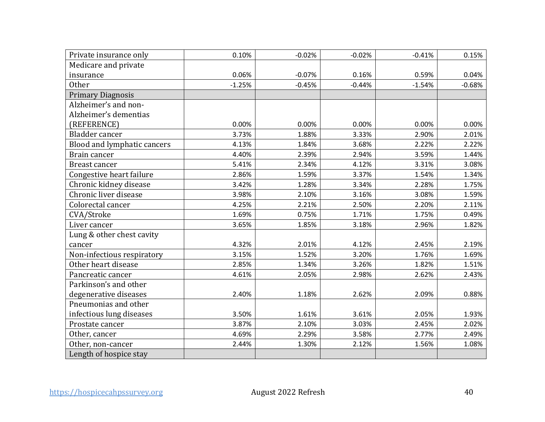| Private insurance only      | 0.10%    | $-0.02%$ | $-0.02%$ | $-0.41%$ | 0.15%    |
|-----------------------------|----------|----------|----------|----------|----------|
| Medicare and private        |          |          |          |          |          |
| insurance                   | 0.06%    | $-0.07%$ | 0.16%    | 0.59%    | 0.04%    |
| <b>Other</b>                | $-1.25%$ | $-0.45%$ | $-0.44%$ | $-1.54%$ | $-0.68%$ |
| <b>Primary Diagnosis</b>    |          |          |          |          |          |
| Alzheimer's and non-        |          |          |          |          |          |
| Alzheimer's dementias       |          |          |          |          |          |
| (REFERENCE)                 | 0.00%    | 0.00%    | 0.00%    | 0.00%    | 0.00%    |
| Bladder cancer              | 3.73%    | 1.88%    | 3.33%    | 2.90%    | 2.01%    |
| Blood and lymphatic cancers | 4.13%    | 1.84%    | 3.68%    | 2.22%    | 2.22%    |
| Brain cancer                | 4.40%    | 2.39%    | 2.94%    | 3.59%    | 1.44%    |
| <b>Breast cancer</b>        | 5.41%    | 2.34%    | 4.12%    | 3.31%    | 3.08%    |
| Congestive heart failure    | 2.86%    | 1.59%    | 3.37%    | 1.54%    | 1.34%    |
| Chronic kidney disease      | 3.42%    | 1.28%    | 3.34%    | 2.28%    | 1.75%    |
| Chronic liver disease       | 3.98%    | 2.10%    | 3.16%    | 3.08%    | 1.59%    |
| Colorectal cancer           | 4.25%    | 2.21%    | 2.50%    | 2.20%    | 2.11%    |
| CVA/Stroke                  | 1.69%    | 0.75%    | 1.71%    | 1.75%    | 0.49%    |
| Liver cancer                | 3.65%    | 1.85%    | 3.18%    | 2.96%    | 1.82%    |
| Lung & other chest cavity   |          |          |          |          |          |
| cancer                      | 4.32%    | 2.01%    | 4.12%    | 2.45%    | 2.19%    |
| Non-infectious respiratory  | 3.15%    | 1.52%    | 3.20%    | 1.76%    | 1.69%    |
| Other heart disease         | 2.85%    | 1.34%    | 3.26%    | 1.82%    | 1.51%    |
| Pancreatic cancer           | 4.61%    | 2.05%    | 2.98%    | 2.62%    | 2.43%    |
| Parkinson's and other       |          |          |          |          |          |
| degenerative diseases       | 2.40%    | 1.18%    | 2.62%    | 2.09%    | 0.88%    |
| Pneumonias and other        |          |          |          |          |          |
| infectious lung diseases    | 3.50%    | 1.61%    | 3.61%    | 2.05%    | 1.93%    |
| Prostate cancer             | 3.87%    | 2.10%    | 3.03%    | 2.45%    | 2.02%    |
| Other, cancer               | 4.69%    | 2.29%    | 3.58%    | 2.77%    | 2.49%    |
| Other, non-cancer           | 2.44%    | 1.30%    | 2.12%    | 1.56%    | 1.08%    |
| Length of hospice stay      |          |          |          |          |          |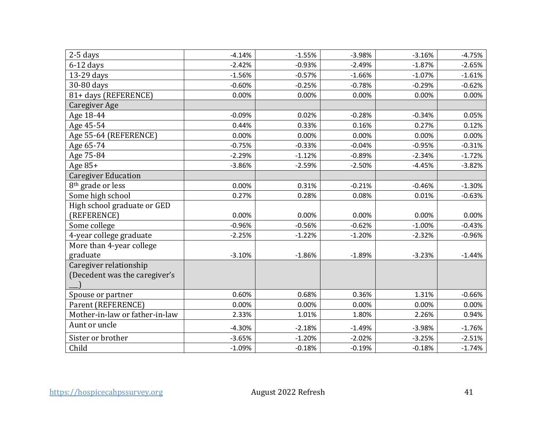| $2-5$ days                     | $-4.14%$ | $-1.55%$ | $-3.98%$ | $-3.16%$ | $-4.75%$ |
|--------------------------------|----------|----------|----------|----------|----------|
| $6-12$ days                    | $-2.42%$ | $-0.93%$ | $-2.49%$ | $-1.87%$ | $-2.65%$ |
| 13-29 days                     | $-1.56%$ | $-0.57%$ | $-1.66%$ | $-1.07%$ | $-1.61%$ |
| 30-80 days                     | $-0.60%$ | $-0.25%$ | $-0.78%$ | $-0.29%$ | $-0.62%$ |
| 81+ days (REFERENCE)           | 0.00%    | 0.00%    | 0.00%    | 0.00%    | 0.00%    |
| <b>Caregiver Age</b>           |          |          |          |          |          |
| Age 18-44                      | $-0.09%$ | 0.02%    | $-0.28%$ | $-0.34%$ | 0.05%    |
| Age 45-54                      | 0.44%    | 0.33%    | 0.16%    | 0.27%    | 0.12%    |
| Age 55-64 (REFERENCE)          | 0.00%    | 0.00%    | 0.00%    | 0.00%    | 0.00%    |
| Age 65-74                      | $-0.75%$ | $-0.33%$ | $-0.04%$ | $-0.95%$ | $-0.31%$ |
| Age 75-84                      | $-2.29%$ | $-1.12%$ | $-0.89%$ | $-2.34%$ | $-1.72%$ |
| Age $85+$                      | $-3.86%$ | $-2.59%$ | $-2.50%$ | $-4.45%$ | $-3.82%$ |
| <b>Caregiver Education</b>     |          |          |          |          |          |
| 8 <sup>th</sup> grade or less  | 0.00%    | 0.31%    | $-0.21%$ | $-0.46%$ | $-1.30%$ |
| Some high school               | 0.27%    | 0.28%    | 0.08%    | 0.01%    | $-0.63%$ |
| High school graduate or GED    |          |          |          |          |          |
| (REFERENCE)                    | 0.00%    | 0.00%    | 0.00%    | 0.00%    | 0.00%    |
| Some college                   | $-0.96%$ | $-0.56%$ | $-0.62%$ | $-1.00%$ | $-0.43%$ |
| 4-year college graduate        | $-2.25%$ | $-1.22%$ | $-1.20%$ | $-2.32%$ | $-0.96%$ |
| More than 4-year college       |          |          |          |          |          |
| graduate                       | $-3.10%$ | $-1.86%$ | $-1.89%$ | $-3.23%$ | $-1.44%$ |
| Caregiver relationship         |          |          |          |          |          |
| (Decedent was the caregiver's  |          |          |          |          |          |
|                                |          |          |          |          |          |
| Spouse or partner              | 0.60%    | 0.68%    | 0.36%    | 1.31%    | $-0.66%$ |
| Parent (REFERENCE)             | 0.00%    | 0.00%    | 0.00%    | 0.00%    | 0.00%    |
| Mother-in-law or father-in-law | 2.33%    | 1.01%    | 1.80%    | 2.26%    | 0.94%    |
| Aunt or uncle                  | $-4.30%$ | $-2.18%$ | $-1.49%$ | $-3.98%$ | $-1.76%$ |
| Sister or brother              | $-3.65%$ | $-1.20%$ | $-2.02%$ | $-3.25%$ | $-2.51%$ |
| Child                          | $-1.09%$ | $-0.18%$ | $-0.19%$ | $-0.18%$ | $-1.74%$ |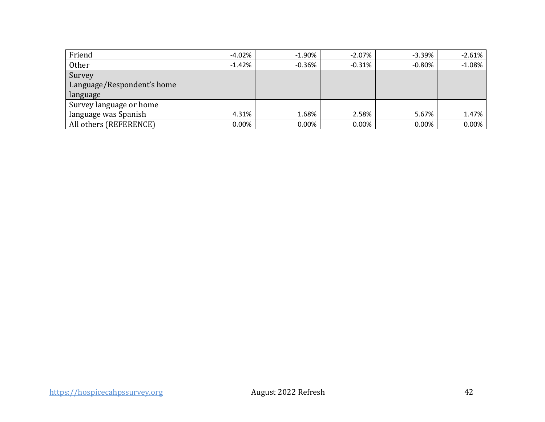| Friend                     | $-4.02%$ | $-1.90\%$ | $-2.07\%$ | $-3.39\%$ | $-2.61%$ |
|----------------------------|----------|-----------|-----------|-----------|----------|
| Other                      | $-1.42%$ | $-0.36\%$ | $-0.31%$  | $-0.80\%$ | $-1.08%$ |
| Survey                     |          |           |           |           |          |
| Language/Respondent's home |          |           |           |           |          |
| language                   |          |           |           |           |          |
| Survey language or home    |          |           |           |           |          |
| language was Spanish       | 4.31%    | 1.68%     | 2.58%     | 5.67%     | 1.47%    |
| All others (REFERENCE)     | $0.00\%$ | 0.00%     | 0.00%     | $0.00\%$  | $0.00\%$ |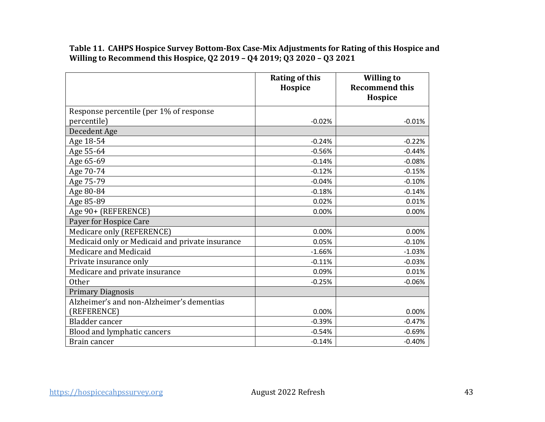**Table 11. CAHPS Hospice Survey Bottom-Box Case-Mix Adjustments for Rating of this Hospice and Willing to Recommend this Hospice, Q2 2019 – Q4 2019; Q3 2020 – Q3 2021** 

|                                                 | <b>Rating of this</b><br>Hospice | <b>Willing to</b><br><b>Recommend this</b> |
|-------------------------------------------------|----------------------------------|--------------------------------------------|
|                                                 |                                  | Hospice                                    |
| Response percentile (per 1% of response         |                                  |                                            |
| percentile)                                     | $-0.02%$                         | $-0.01%$                                   |
| Decedent Age                                    |                                  |                                            |
| Age 18-54                                       | $-0.24%$                         | $-0.22%$                                   |
| Age 55-64                                       | $-0.56%$                         | $-0.44%$                                   |
| Age 65-69                                       | $-0.14%$                         | $-0.08%$                                   |
| Age 70-74                                       | $-0.12%$                         | $-0.15%$                                   |
| Age 75-79                                       | $-0.04%$                         | $-0.10%$                                   |
| Age 80-84                                       | $-0.18%$                         | $-0.14%$                                   |
| Age 85-89                                       | 0.02%                            | 0.01%                                      |
| Age 90+ (REFERENCE)                             | 0.00%                            | 0.00%                                      |
| Payer for Hospice Care                          |                                  |                                            |
| Medicare only (REFERENCE)                       | 0.00%                            | 0.00%                                      |
| Medicaid only or Medicaid and private insurance | 0.05%                            | $-0.10%$                                   |
| Medicare and Medicaid                           | $-1.66%$                         | $-1.03%$                                   |
| Private insurance only                          | $-0.11%$                         | $-0.03%$                                   |
| Medicare and private insurance                  | 0.09%                            | 0.01%                                      |
| <b>Other</b>                                    | $-0.25%$                         | $-0.06%$                                   |
| <b>Primary Diagnosis</b>                        |                                  |                                            |
| Alzheimer's and non-Alzheimer's dementias       |                                  |                                            |
| (REFERENCE)                                     | 0.00%                            | 0.00%                                      |
| Bladder cancer                                  | $-0.39%$                         | $-0.47%$                                   |
| Blood and lymphatic cancers                     | $-0.54%$                         | $-0.69%$                                   |
| Brain cancer                                    | $-0.14%$                         | $-0.40%$                                   |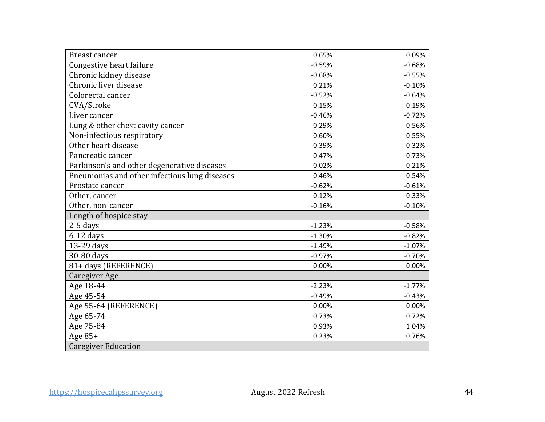| <b>Breast cancer</b>                          | 0.65%    | 0.09%    |
|-----------------------------------------------|----------|----------|
| Congestive heart failure                      | $-0.59%$ | $-0.68%$ |
| Chronic kidney disease                        | $-0.68%$ | $-0.55%$ |
| Chronic liver disease                         | 0.21%    | $-0.10%$ |
| Colorectal cancer                             | $-0.52%$ | $-0.64%$ |
| CVA/Stroke                                    | 0.15%    | 0.19%    |
| Liver cancer                                  | $-0.46%$ | $-0.72%$ |
| Lung & other chest cavity cancer              | $-0.29%$ | $-0.56%$ |
| Non-infectious respiratory                    | $-0.60%$ | $-0.55%$ |
| Other heart disease                           | $-0.39%$ | $-0.32%$ |
| Pancreatic cancer                             | $-0.47%$ | $-0.73%$ |
| Parkinson's and other degenerative diseases   | 0.02%    | 0.21%    |
| Pneumonias and other infectious lung diseases | $-0.46%$ | $-0.54%$ |
| Prostate cancer                               | $-0.62%$ | $-0.61%$ |
| Other, cancer                                 | $-0.12%$ | $-0.33%$ |
| Other, non-cancer                             | $-0.16%$ | $-0.10%$ |
| Length of hospice stay                        |          |          |
| 2-5 days                                      | $-1.23%$ | $-0.58%$ |
| $6-12$ days                                   | $-1.30%$ | $-0.82%$ |
| 13-29 days                                    | $-1.49%$ | $-1.07%$ |
| 30-80 days                                    | $-0.97%$ | $-0.70%$ |
| 81+ days (REFERENCE)                          | 0.00%    | 0.00%    |
| <b>Caregiver Age</b>                          |          |          |
| Age 18-44                                     | $-2.23%$ | $-1.77%$ |
| Age 45-54                                     | $-0.49%$ | $-0.43%$ |
| Age 55-64 (REFERENCE)                         | 0.00%    | 0.00%    |
| Age 65-74                                     | 0.73%    | 0.72%    |
| Age 75-84                                     | 0.93%    | 1.04%    |
| Age $85+$                                     | 0.23%    | 0.76%    |
| <b>Caregiver Education</b>                    |          |          |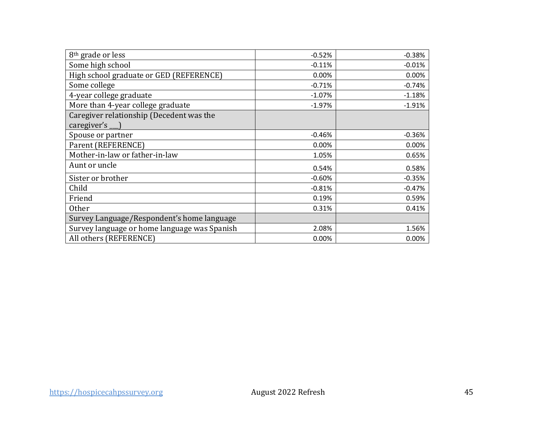| 8 <sup>th</sup> grade or less                           | $-0.52%$ | $-0.38%$ |
|---------------------------------------------------------|----------|----------|
| Some high school                                        | $-0.11%$ | $-0.01%$ |
| High school graduate or GED (REFERENCE)                 | 0.00%    | 0.00%    |
| Some college                                            | $-0.71%$ | $-0.74%$ |
| 4-year college graduate                                 | $-1.07%$ | $-1.18%$ |
| More than 4-year college graduate                       | $-1.97%$ | $-1.91%$ |
| Caregiver relationship (Decedent was the<br>caregiver's |          |          |
| Spouse or partner                                       | $-0.46%$ | $-0.36%$ |
| Parent (REFERENCE)                                      | 0.00%    | 0.00%    |
| Mother-in-law or father-in-law                          | 1.05%    | 0.65%    |
| Aunt or uncle                                           | 0.54%    | 0.58%    |
| Sister or brother                                       | $-0.60%$ | $-0.35%$ |
| Child                                                   | $-0.81%$ | $-0.47%$ |
| Friend                                                  | 0.19%    | 0.59%    |
| Other                                                   | 0.31%    | 0.41%    |
| Survey Language/Respondent's home language              |          |          |
| Survey language or home language was Spanish            | 2.08%    | 1.56%    |
| All others (REFERENCE)                                  | 0.00%    | 0.00%    |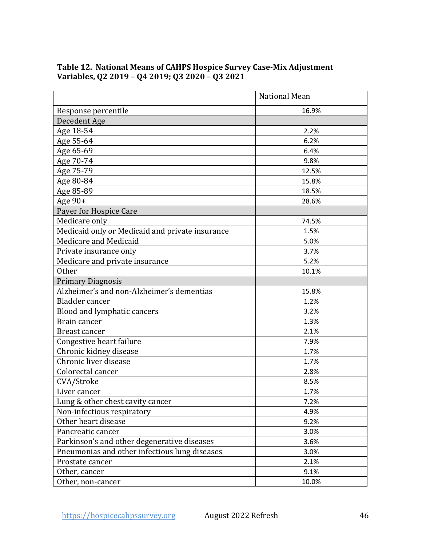|                                                 | National Mean |
|-------------------------------------------------|---------------|
| Response percentile                             | 16.9%         |
| Decedent Age                                    |               |
| Age 18-54                                       | 2.2%          |
| Age 55-64                                       | 6.2%          |
| Age 65-69                                       | 6.4%          |
| Age 70-74                                       | 9.8%          |
| Age 75-79                                       | 12.5%         |
| Age 80-84                                       | 15.8%         |
| Age 85-89                                       | 18.5%         |
| Age 90+                                         | 28.6%         |
| Payer for Hospice Care                          |               |
| Medicare only                                   | 74.5%         |
| Medicaid only or Medicaid and private insurance | 1.5%          |
| Medicare and Medicaid                           | 5.0%          |
| Private insurance only                          | 3.7%          |
| Medicare and private insurance                  | 5.2%          |
| <b>Other</b>                                    | 10.1%         |
| <b>Primary Diagnosis</b>                        |               |
| Alzheimer's and non-Alzheimer's dementias       | 15.8%         |
| <b>Bladder</b> cancer                           | 1.2%          |
| Blood and lymphatic cancers                     | 3.2%          |
| Brain cancer                                    | 1.3%          |
| Breast cancer                                   | 2.1%          |
| Congestive heart failure                        | 7.9%          |
| Chronic kidney disease                          | 1.7%          |
| Chronic liver disease                           | 1.7%          |
| Colorectal cancer                               | 2.8%          |
| CVA/Stroke                                      | 8.5%          |
| Liver cancer                                    | 1.7%          |
| Lung & other chest cavity cancer                | 7.2%          |
| Non-infectious respiratory                      | 4.9%          |
| Other heart disease                             | 9.2%          |
| Pancreatic cancer                               | 3.0%          |
| Parkinson's and other degenerative diseases     | 3.6%          |
| Pneumonias and other infectious lung diseases   | 3.0%          |
| Prostate cancer                                 | 2.1%          |
| Other, cancer                                   | 9.1%          |
| Other, non-cancer                               | 10.0%         |

## **Variables, Q2 2019 – Q4 2019; Q3 2020 – Q3 2021 Table 12. National Means of CAHPS Hospice Survey Case-Mix Adjustment**